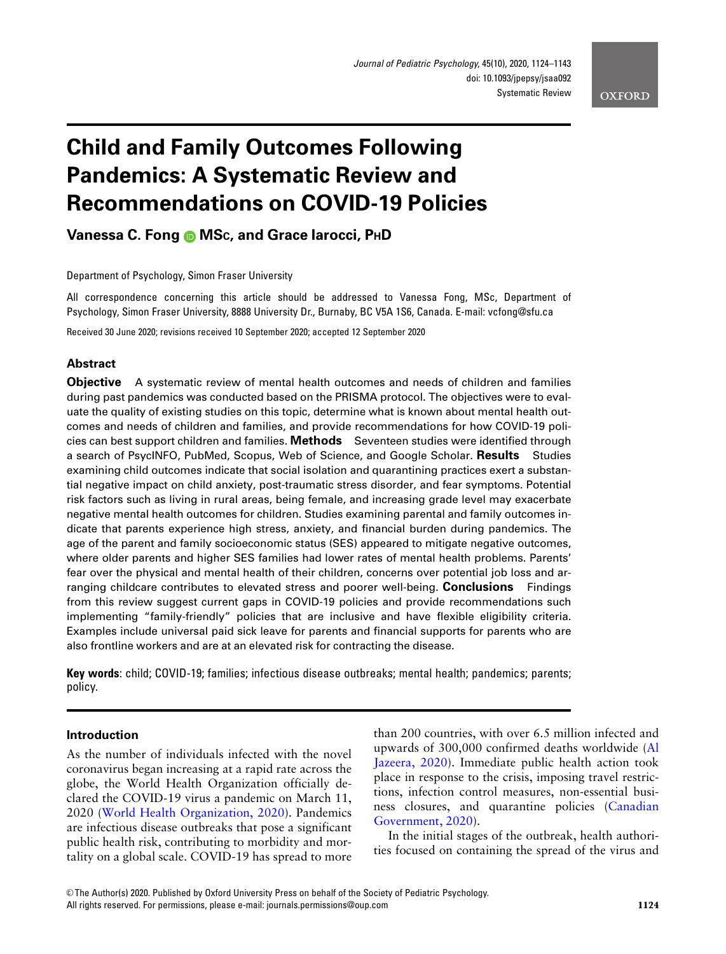**OXFORD** 

# Child and Family Outcomes Following Pandemics: A Systematic Review and Recommendations on COVID-19 Policies

Vanessa C. Fong **@** MSc, and Grace Iarocci, PHD

Department of Psychology, Simon Fraser University

All correspondence concerning this article should be addressed to Vanessa Fong, MSc, Department of Psychology, Simon Fraser University, 8888 University Dr., Burnaby, BC V5A 1S6, Canada. E-mail: vcfong@sfu.ca

Received 30 June 2020; revisions received 10 September 2020; accepted 12 September 2020

# Abstract

**Objective** A systematic review of mental health outcomes and needs of children and families during past pandemics was conducted based on the PRISMA protocol. The objectives were to evaluate the quality of existing studies on this topic, determine what is known about mental health outcomes and needs of children and families, and provide recommendations for how COVID-19 policies can best support children and families. **Methods** Seventeen studies were identified through a search of PsycINFO, PubMed, Scopus, Web of Science, and Google Scholar. Results Studies examining child outcomes indicate that social isolation and quarantining practices exert a substantial negative impact on child anxiety, post-traumatic stress disorder, and fear symptoms. Potential risk factors such as living in rural areas, being female, and increasing grade level may exacerbate negative mental health outcomes for children. Studies examining parental and family outcomes indicate that parents experience high stress, anxiety, and financial burden during pandemics. The age of the parent and family socioeconomic status (SES) appeared to mitigate negative outcomes, where older parents and higher SES families had lower rates of mental health problems. Parents' fear over the physical and mental health of their children, concerns over potential job loss and arranging childcare contributes to elevated stress and poorer well-being. Conclusions Findings from this review suggest current gaps in COVID-19 policies and provide recommendations such implementing "family-friendly" policies that are inclusive and have flexible eligibility criteria. Examples include universal paid sick leave for parents and financial supports for parents who are also frontline workers and are at an elevated risk for contracting the disease.

Key words: child; COVID-19; families; infectious disease outbreaks; mental health; pandemics; parents; policy.

## Introduction

As the number of individuals infected with the novel coronavirus began increasing at a rapid rate across the globe, the World Health Organization officially declared the COVID-19 virus a pandemic on March 11, 2020 ([World Health Organization, 2020](#page-18-0)). Pandemics are infectious disease outbreaks that pose a significant public health risk, contributing to morbidity and mortality on a global scale. COVID-19 has spread to more than 200 countries, with over 6.5 million infected and upwards of 300,000 confirmed deaths worldwide ([Al](#page-17-0) [Jazeera, 2020](#page-17-0)). Immediate public health action took place in response to the crisis, imposing travel restrictions, infection control measures, non-essential business closures, and quarantine policies [\(Canadian](#page-17-0) [Government, 2020\)](#page-17-0).

In the initial stages of the outbreak, health authorities focused on containing the spread of the virus and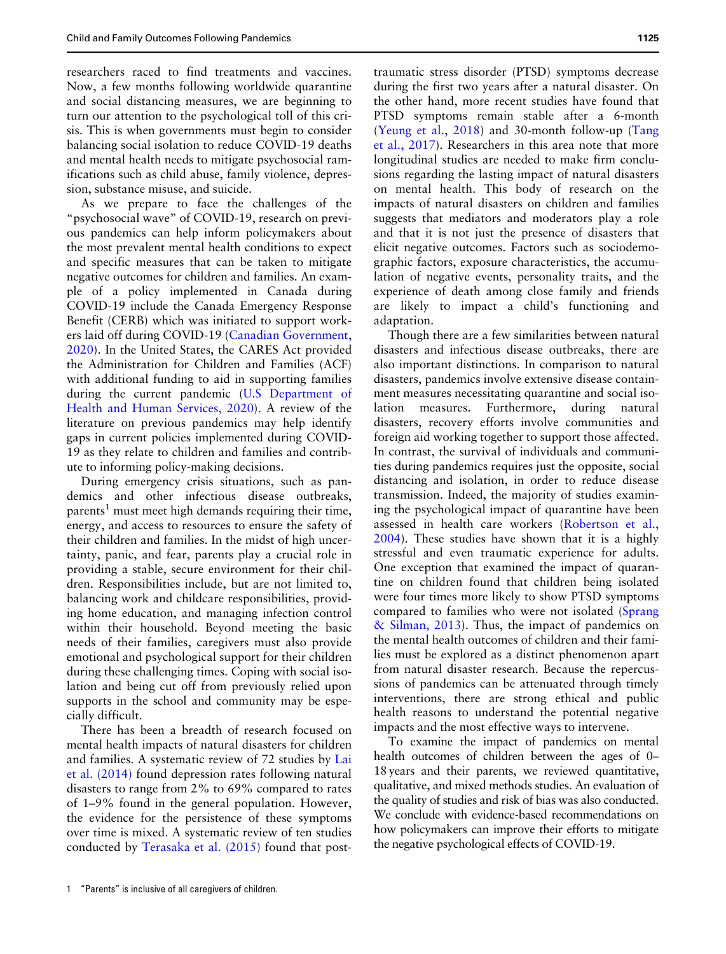researchers raced to find treatments and vaccines. Now, a few months following worldwide quarantine and social distancing measures, we are beginning to turn our attention to the psychological toll of this crisis. This is when governments must begin to consider balancing social isolation to reduce COVID-19 deaths and mental health needs to mitigate psychosocial ramifications such as child abuse, family violence, depression, substance misuse, and suicide.

As we prepare to face the challenges of the "psychosocial wave" of COVID-19, research on previous pandemics can help inform policymakers about the most prevalent mental health conditions to expect and specific measures that can be taken to mitigate negative outcomes for children and families. An example of a policy implemented in Canada during COVID-19 include the Canada Emergency Response Benefit (CERB) which was initiated to support workers laid off during COVID-19 ([Canadian Government,](#page-17-0) [2020\)](#page-17-0). In the United States, the CARES Act provided the Administration for Children and Families (ACF) with additional funding to aid in supporting families during the current pandemic ([U.S Department of](#page-18-0) [Health and Human Services, 2020](#page-18-0)). A review of the literature on previous pandemics may help identify gaps in current policies implemented during COVID-19 as they relate to children and families and contribute to informing policy-making decisions.

During emergency crisis situations, such as pandemics and other infectious disease outbreaks, parents<sup>1</sup> must meet high demands requiring their time, energy, and access to resources to ensure the safety of their children and families. In the midst of high uncertainty, panic, and fear, parents play a crucial role in providing a stable, secure environment for their children. Responsibilities include, but are not limited to, balancing work and childcare responsibilities, providing home education, and managing infection control within their household. Beyond meeting the basic needs of their families, caregivers must also provide emotional and psychological support for their children during these challenging times. Coping with social isolation and being cut off from previously relied upon supports in the school and community may be especially difficult.

There has been a breadth of research focused on mental health impacts of natural disasters for children and families. A systematic review of 72 studies by [Lai](#page-18-0) [et al. \(2014\)](#page-18-0) found depression rates following natural disasters to range from 2% to 69% compared to rates of 1–9% found in the general population. However, the evidence for the persistence of these symptoms over time is mixed. A systematic review of ten studies conducted by [Terasaka et al. \(2015\)](#page-18-0) found that post-

traumatic stress disorder (PTSD) symptoms decrease during the first two years after a natural disaster. On the other hand, more recent studies have found that PTSD symptoms remain stable after a 6-month ([Yeung et al., 2018\)](#page-18-0) and 30-month follow-up [\(Tang](#page-18-0) [et al., 2017](#page-18-0)). Researchers in this area note that more longitudinal studies are needed to make firm conclusions regarding the lasting impact of natural disasters on mental health. This body of research on the impacts of natural disasters on children and families suggests that mediators and moderators play a role and that it is not just the presence of disasters that elicit negative outcomes. Factors such as sociodemographic factors, exposure characteristics, the accumulation of negative events, personality traits, and the experience of death among close family and friends are likely to impact a child's functioning and adaptation.

Though there are a few similarities between natural disasters and infectious disease outbreaks, there are also important distinctions. In comparison to natural disasters, pandemics involve extensive disease containment measures necessitating quarantine and social isolation measures. Furthermore, during natural disasters, recovery efforts involve communities and foreign aid working together to support those affected. In contrast, the survival of individuals and communities during pandemics requires just the opposite, social distancing and isolation, in order to reduce disease transmission. Indeed, the majority of studies examining the psychological impact of quarantine have been assessed in health care workers ([Robertson et al.,](#page-18-0) [2004\)](#page-18-0). These studies have shown that it is a highly stressful and even traumatic experience for adults. One exception that examined the impact of quarantine on children found that children being isolated were four times more likely to show PTSD symptoms compared to families who were not isolated ([Sprang](#page-18-0) [& Silman, 2013](#page-18-0)). Thus, the impact of pandemics on the mental health outcomes of children and their families must be explored as a distinct phenomenon apart from natural disaster research. Because the repercussions of pandemics can be attenuated through timely interventions, there are strong ethical and public health reasons to understand the potential negative impacts and the most effective ways to intervene.

To examine the impact of pandemics on mental health outcomes of children between the ages of 0– 18 years and their parents, we reviewed quantitative, qualitative, and mixed methods studies. An evaluation of the quality of studies and risk of bias was also conducted. We conclude with evidence-based recommendations on how policymakers can improve their efforts to mitigate the negative psychological effects of COVID-19.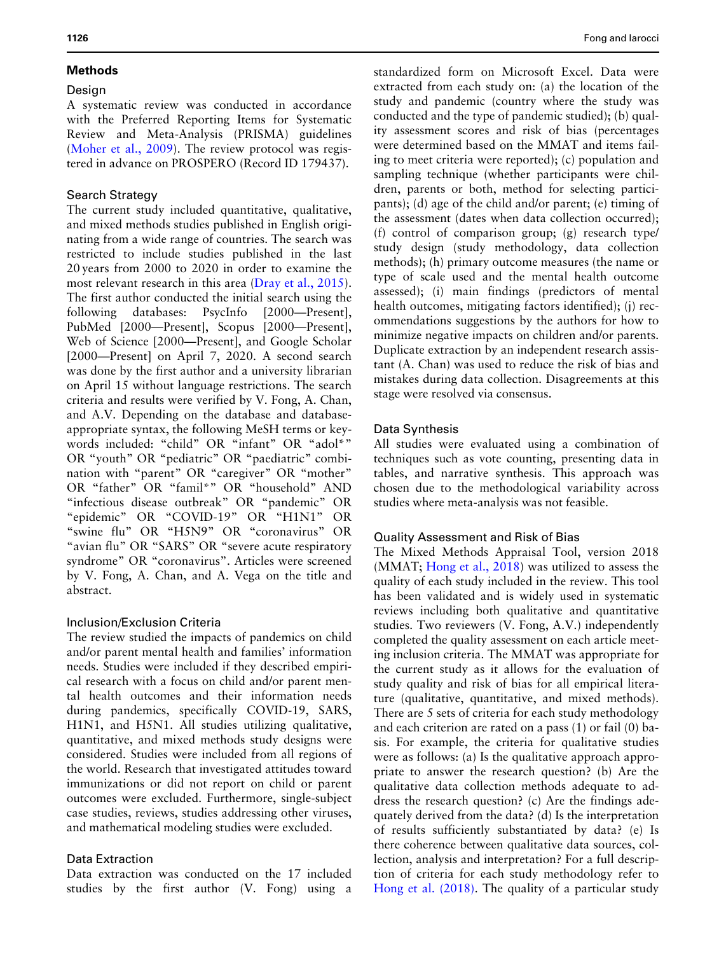#### Methods

# Design

A systematic review was conducted in accordance with the Preferred Reporting Items for Systematic Review and Meta-Analysis (PRISMA) guidelines ([Moher et al., 2009\)](#page-18-0). The review protocol was registered in advance on PROSPERO (Record ID 179437).

# Search Strategy

The current study included quantitative, qualitative, and mixed methods studies published in English originating from a wide range of countries. The search was restricted to include studies published in the last 20 years from 2000 to 2020 in order to examine the most relevant research in this area ([Dray et al., 2015\)](#page-17-0). The first author conducted the initial search using the following databases: PsycInfo [2000—Present], PubMed [2000—Present], Scopus [2000—Present], Web of Science [2000—Present], and Google Scholar [2000—Present] on April 7, 2020. A second search was done by the first author and a university librarian on April 15 without language restrictions. The search criteria and results were verified by V. Fong, A. Chan, and A.V. Depending on the database and databaseappropriate syntax, the following MeSH terms or keywords included: "child" OR "infant" OR "adol\*" OR "youth" OR "pediatric" OR "paediatric" combination with "parent" OR "caregiver" OR "mother" OR "father" OR "famil\*" OR "household" AND "infectious disease outbreak" OR "pandemic" OR "epidemic" OR "COVID-19" OR "H1N1" OR "swine flu" OR "H5N9" OR "coronavirus" OR "avian flu" OR "SARS" OR "severe acute respiratory syndrome" OR "coronavirus". Articles were screened by V. Fong, A. Chan, and A. Vega on the title and abstract.

## Inclusion/Exclusion Criteria

The review studied the impacts of pandemics on child and/or parent mental health and families' information needs. Studies were included if they described empirical research with a focus on child and/or parent mental health outcomes and their information needs during pandemics, specifically COVID-19, SARS, H1N1, and H5N1. All studies utilizing qualitative, quantitative, and mixed methods study designs were considered. Studies were included from all regions of the world. Research that investigated attitudes toward immunizations or did not report on child or parent outcomes were excluded. Furthermore, single-subject case studies, reviews, studies addressing other viruses, and mathematical modeling studies were excluded.

## Data Extraction

Data extraction was conducted on the 17 included studies by the first author (V. Fong) using a

standardized form on Microsoft Excel. Data were extracted from each study on: (a) the location of the study and pandemic (country where the study was conducted and the type of pandemic studied); (b) quality assessment scores and risk of bias (percentages were determined based on the MMAT and items failing to meet criteria were reported); (c) population and sampling technique (whether participants were children, parents or both, method for selecting participants); (d) age of the child and/or parent; (e) timing of the assessment (dates when data collection occurred); (f) control of comparison group; (g) research type/ study design (study methodology, data collection methods); (h) primary outcome measures (the name or type of scale used and the mental health outcome assessed); (i) main findings (predictors of mental health outcomes, mitigating factors identified); (j) recommendations suggestions by the authors for how to minimize negative impacts on children and/or parents. Duplicate extraction by an independent research assistant (A. Chan) was used to reduce the risk of bias and mistakes during data collection. Disagreements at this stage were resolved via consensus.

#### Data Synthesis

All studies were evaluated using a combination of techniques such as vote counting, presenting data in tables, and narrative synthesis. This approach was chosen due to the methodological variability across studies where meta-analysis was not feasible.

## Quality Assessment and Risk of Bias

The Mixed Methods Appraisal Tool, version 2018 (MMAT; [Hong et al., 2018\)](#page-17-0) was utilized to assess the quality of each study included in the review. This tool has been validated and is widely used in systematic reviews including both qualitative and quantitative studies. Two reviewers (V. Fong, A.V.) independently completed the quality assessment on each article meeting inclusion criteria. The MMAT was appropriate for the current study as it allows for the evaluation of study quality and risk of bias for all empirical literature (qualitative, quantitative, and mixed methods). There are 5 sets of criteria for each study methodology and each criterion are rated on a pass (1) or fail (0) basis. For example, the criteria for qualitative studies were as follows: (a) Is the qualitative approach appropriate to answer the research question? (b) Are the qualitative data collection methods adequate to address the research question? (c) Are the findings adequately derived from the data? (d) Is the interpretation of results sufficiently substantiated by data? (e) Is there coherence between qualitative data sources, collection, analysis and interpretation? For a full description of criteria for each study methodology refer to [Hong et al. \(2018\)](#page-17-0). The quality of a particular study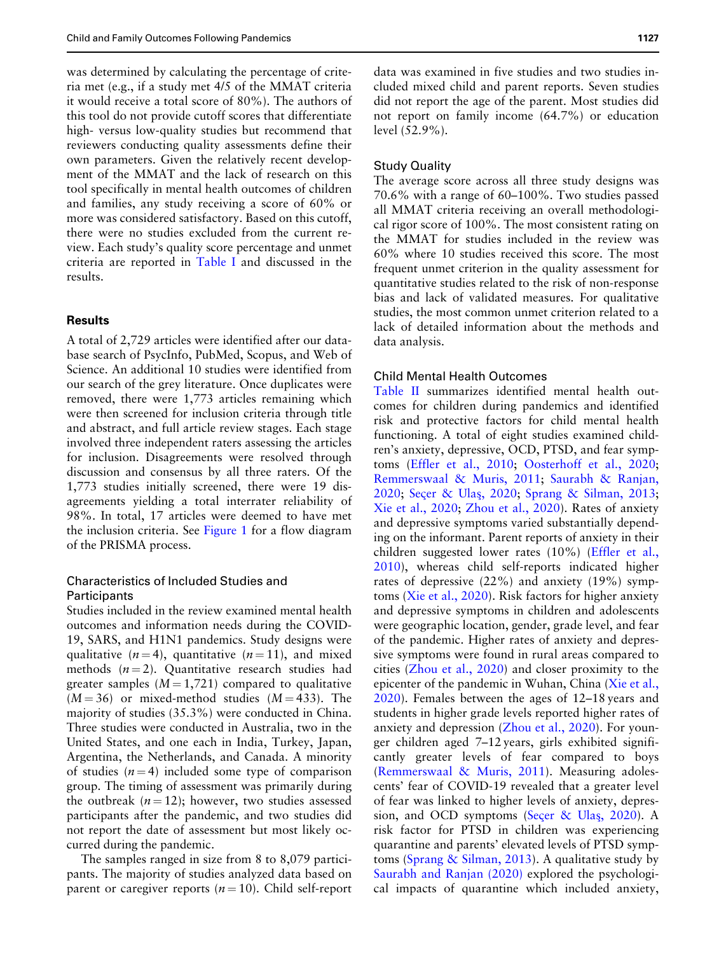was determined by calculating the percentage of criteria met (e.g., if a study met 4/5 of the MMAT criteria it would receive a total score of 80%). The authors of this tool do not provide cutoff scores that differentiate high- versus low-quality studies but recommend that reviewers conducting quality assessments define their own parameters. Given the relatively recent development of the MMAT and the lack of research on this tool specifically in mental health outcomes of children and families, any study receiving a score of 60% or more was considered satisfactory. Based on this cutoff, there were no studies excluded from the current review. Each study's quality score percentage and unmet criteria are reported in [Table I](#page-4-0) and discussed in the results.

#### Results

A total of 2,729 articles were identified after our database search of PsycInfo, PubMed, Scopus, and Web of Science. An additional 10 studies were identified from our search of the grey literature. Once duplicates were removed, there were 1,773 articles remaining which were then screened for inclusion criteria through title and abstract, and full article review stages. Each stage involved three independent raters assessing the articles for inclusion. Disagreements were resolved through discussion and consensus by all three raters. Of the 1,773 studies initially screened, there were 19 disagreements yielding a total interrater reliability of 98%. In total, 17 articles were deemed to have met the inclusion criteria. See [Figure 1](#page-12-0) for a flow diagram of the PRISMA process.

# Characteristics of Included Studies and **Participants**

Studies included in the review examined mental health outcomes and information needs during the COVID-19, SARS, and H1N1 pandemics. Study designs were qualitative  $(n = 4)$ , quantitative  $(n = 11)$ , and mixed methods  $(n = 2)$ . Quantitative research studies had greater samples  $(M = 1,721)$  compared to qualitative  $(M = 36)$  or mixed-method studies  $(M = 433)$ . The majority of studies (35.3%) were conducted in China. Three studies were conducted in Australia, two in the United States, and one each in India, Turkey, Japan, Argentina, the Netherlands, and Canada. A minority of studies  $(n = 4)$  included some type of comparison group. The timing of assessment was primarily during the outbreak  $(n = 12)$ ; however, two studies assessed participants after the pandemic, and two studies did not report the date of assessment but most likely occurred during the pandemic.

The samples ranged in size from 8 to 8,079 participants. The majority of studies analyzed data based on parent or caregiver reports  $(n = 10)$ . Child self-report

data was examined in five studies and two studies included mixed child and parent reports. Seven studies did not report the age of the parent. Most studies did not report on family income (64.7%) or education level (52.9%).

#### Study Quality

The average score across all three study designs was 70.6% with a range of 60–100%. Two studies passed all MMAT criteria receiving an overall methodological rigor score of 100%. The most consistent rating on the MMAT for studies included in the review was 60% where 10 studies received this score. The most frequent unmet criterion in the quality assessment for quantitative studies related to the risk of non-response bias and lack of validated measures. For qualitative studies, the most common unmet criterion related to a lack of detailed information about the methods and data analysis.

#### Child Mental Health Outcomes

[Table II](#page-13-0) summarizes identified mental health outcomes for children during pandemics and identified risk and protective factors for child mental health functioning. A total of eight studies examined children's anxiety, depressive, OCD, PTSD, and fear symptoms ([Effler et al., 2010](#page-17-0); [Oosterhoff et al., 2020;](#page-18-0) [Remmerswaal & Muris, 2011;](#page-18-0) [Saurabh](#page-18-0) & [Ranjan,](#page-18-0) [2020;](#page-18-0) [Se](#page-18-0)c[er](#page-18-0) & [Ula](#page-18-0)ş[, 2020](#page-18-0); [Sprang](#page-18-0) & [Silman, 2013;](#page-18-0) [Xie et al., 2020;](#page-18-0) [Zhou et al., 2020\)](#page-18-0). Rates of anxiety and depressive symptoms varied substantially depending on the informant. Parent reports of anxiety in their children suggested lower rates (10%) ([Effler et al.,](#page-17-0) [2010\)](#page-17-0), whereas child self-reports indicated higher rates of depressive (22%) and anxiety (19%) symptoms ([Xie et al., 2020](#page-18-0)). Risk factors for higher anxiety and depressive symptoms in children and adolescents were geographic location, gender, grade level, and fear of the pandemic. Higher rates of anxiety and depressive symptoms were found in rural areas compared to cities [\(Zhou et al., 2020](#page-18-0)) and closer proximity to the epicenter of the pandemic in Wuhan, China [\(Xie et al.,](#page-18-0) [2020\)](#page-18-0). Females between the ages of 12–18 years and students in higher grade levels reported higher rates of anxiety and depression [\(Zhou et al., 2020\)](#page-18-0). For younger children aged 7–12 years, girls exhibited significantly greater levels of fear compared to boys ([Remmerswaal](#page-18-0) & [Muris, 2011](#page-18-0)). Measuring adolescents' fear of COVID-19 revealed that a greater level of fear was linked to higher levels of anxiety, depres-sion, and OCD symptoms ([Se](#page-18-0)c[er & Ulas](#page-18-0)[, 2020\)](#page-18-0). A risk factor for PTSD in children was experiencing quarantine and parents' elevated levels of PTSD symptoms ([Sprang & Silman, 2013](#page-18-0)). A qualitative study by [Saurabh and Ranjan \(2020\)](#page-18-0) explored the psychological impacts of quarantine which included anxiety,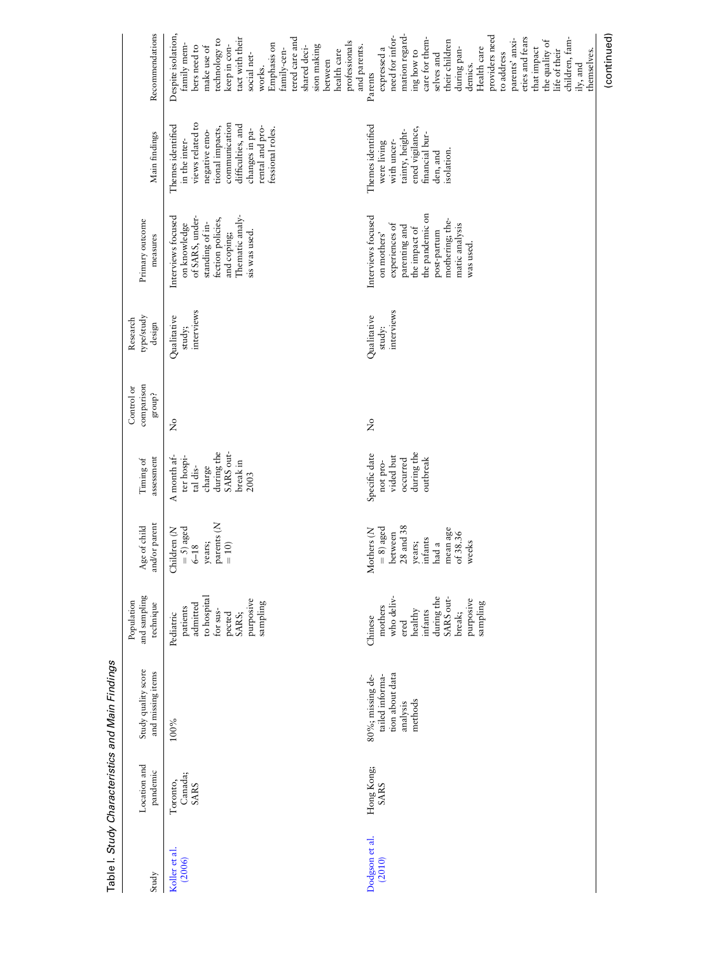<span id="page-4-0"></span>

|                          |                                    | Table I. Study Characteristics and Main Findings                              |                                                                                                                              |                                                                                                                   |                                                                                                |                                                     |                                     |                                                                                                                                                                           |                                                                                                                                                                                           |                                                                                                                                                                                                                                                                                                                                                          |
|--------------------------|------------------------------------|-------------------------------------------------------------------------------|------------------------------------------------------------------------------------------------------------------------------|-------------------------------------------------------------------------------------------------------------------|------------------------------------------------------------------------------------------------|-----------------------------------------------------|-------------------------------------|---------------------------------------------------------------------------------------------------------------------------------------------------------------------------|-------------------------------------------------------------------------------------------------------------------------------------------------------------------------------------------|----------------------------------------------------------------------------------------------------------------------------------------------------------------------------------------------------------------------------------------------------------------------------------------------------------------------------------------------------------|
| Study                    | Location and<br>pandemic           | Study quality score<br>and missing items                                      | and sampling<br>Population<br>technique                                                                                      | and/or parent<br>Age of child                                                                                     | assessment<br>Timing of                                                                        | comparison<br>Control or<br>$\operatorname{group};$ | type/study<br>Research<br>design    | Primary outcome<br>measures                                                                                                                                               | Main findings                                                                                                                                                                             | Recommendations                                                                                                                                                                                                                                                                                                                                          |
| Koller et al.<br>(2006)  | Canada;<br>Toronto,<br><b>SARS</b> | 100%                                                                          | to hospital<br>purposive<br>sampling<br>admitted<br>patients<br>for sus-<br>Pediatric<br>pected<br>SARS;                     | parents (N<br>Children (N<br>$=$ 5) aged<br>years;<br>$=10$<br>$6 - 18$                                           | during the<br>SARS out-<br>A month af-<br>ter hospi-<br>break in<br>charge<br>tal dis-<br>2003 | $\tilde{z}$                                         | interviews<br>Qualitative<br>study; | Thematic analy-<br>Interviews focused<br>of SARS, under-<br>fection policies,<br>standing of in-<br>on knowledge<br>sis was used.<br>and coping;                          | views related to<br>communication<br>difficulties, and<br>Themes identified<br>rental and pro-<br>tional impacts,<br>changes in pa-<br>fessional roles.<br>negative emo-<br>in the inter- | Despite isolation,<br>tact with their<br>tered care and<br>technology to<br>professionals<br>family mem-<br>Emphasis on<br>keep in con-<br>bers need to<br>make use of<br>shared deci-<br>sion making<br>family-cen-<br>health care<br>social net-<br>between<br>works.                                                                                  |
| Dodgson et al.<br>(2010) | Hong Kong;<br><b>SARS</b>          | tion about data<br>80%; missing de-<br>tailed informa-<br>methods<br>analysis | who deliv-<br>during the<br>SARS out-<br>purposive<br>sampling<br>mothers<br>healthy<br>infants<br>break;<br>Chinese<br>ered | 28 and 38<br>$= 8$ ) aged<br>mean age<br>of 38.36<br>Mothers (N<br>between<br>infants<br>weeks<br>years;<br>had a | during the<br>Specific date<br>vided but<br>occurred<br>outbreak<br>not pro-                   | $\tilde{z}$                                         | interviews<br>Qualitative<br>study: | the pandemic on<br>Interviews focused<br>mothering; the-<br>experiences of<br>matic analysis<br>parenting and<br>the impact of<br>post-partum<br>on mothers'<br>was used. | Themes identified<br>ened vigilance,<br>tainty, height-<br>financial bur-<br>with uncer-<br>were living<br>isolation.<br>den, and                                                         | mation regard-<br>providers need<br>need for infor-<br>eties and fears<br>care for them-<br>children, fam-<br>parents' anxi-<br>the quality of<br>their children<br>and parents.<br>that impact<br>Health care<br>expressed a<br>during pan-<br>life of their<br>ing how to<br>themselves.<br>to address<br>selves and<br>demics.<br>ily, and<br>Parents |
|                          |                                    |                                                                               |                                                                                                                              |                                                                                                                   |                                                                                                |                                                     |                                     |                                                                                                                                                                           |                                                                                                                                                                                           | (continued)                                                                                                                                                                                                                                                                                                                                              |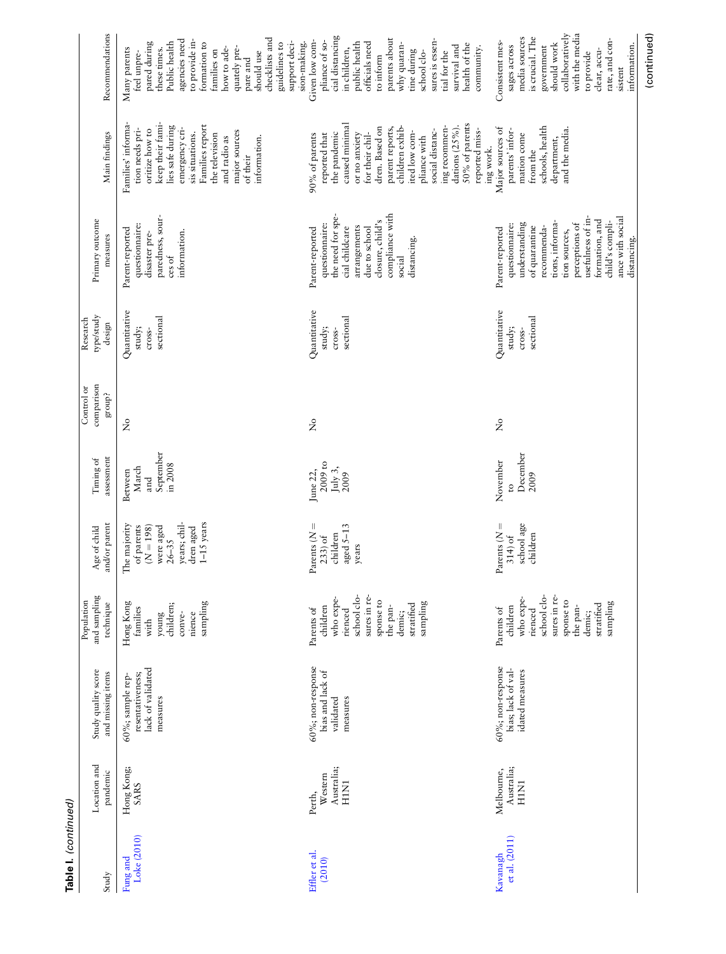| ī |  |
|---|--|
|   |  |
|   |  |

| Study                                     | Location and<br>pandemic                                         | Study quality score<br>and missing items                              | and sampling<br>Population<br>technique                                                                                                    | and/or parent<br>Age of child                                                                                | assessment<br>Timing of                         | comparison<br>Control or<br>group? | type/study<br>Research<br>design                           | Primary outcome<br>measures                                                                                                                                                                                                           | Main findings                                                                                                                                                                                                                                                                            | Recommendations                                                                                                                                                                                                                                                                     |
|-------------------------------------------|------------------------------------------------------------------|-----------------------------------------------------------------------|--------------------------------------------------------------------------------------------------------------------------------------------|--------------------------------------------------------------------------------------------------------------|-------------------------------------------------|------------------------------------|------------------------------------------------------------|---------------------------------------------------------------------------------------------------------------------------------------------------------------------------------------------------------------------------------------|------------------------------------------------------------------------------------------------------------------------------------------------------------------------------------------------------------------------------------------------------------------------------------------|-------------------------------------------------------------------------------------------------------------------------------------------------------------------------------------------------------------------------------------------------------------------------------------|
| Loke (2010)<br>Fung and                   | Hong Kong;<br><b>SARS</b>                                        | lack of validated<br>resentativeness;<br>60%; sample rep-<br>measures | Hong Kong<br>sampling<br>children;<br>families<br>conve-<br>nience<br>young<br>with                                                        | years; chil-<br>$1-15$ years<br>The majority<br>$(N = 198)$<br>of parents<br>were aged<br>26–35<br>dren aged | September<br>in 2008<br>March<br>Between<br>and | $\frac{1}{2}$                      | Quantitative<br>sectional<br>study;<br>cross-              | paredness, sour-<br>questionnaire:<br>Parent-reported<br>information.<br>disaster pre-<br>$\cos$ of                                                                                                                                   | keep their fami-<br>Families' informa-<br>Families report<br>lies safe during<br>emergency cri-<br>tion needs pri-<br>oritize how to<br>major sources<br>sis situations.<br>the television<br>and radio as<br>information.<br>of their                                                   | checklists and<br>to provide in-<br>agencies need<br>Public health<br>support deci-<br>pared during<br>formation to<br>guidelines to<br>how to ade-<br>quately pre-<br>these times.<br>Many parents<br>families on<br>should use<br>feel unpre-<br>pare and                         |
| Effler et al.<br>(2010)                   | Australia;<br>Western<br>H <sub>1</sub> N <sub>1</sub><br>Perth, | 60%; non-response<br>bias and lack of<br>validated<br>measures        | sures in re-<br>school clo-<br>who expe-<br>sponse to<br>sampling<br>stratified<br>children<br>the pan-<br>Parents of<br>rienced<br>demic; | Parents $(N =$<br>aged 5-13<br>children<br>$233$ ) of<br>years                                               | $2009$ to<br>July 3,<br>June 22,<br>2009        | $\tilde{z}$                        | Quantitative<br>sectional<br>study;<br>CTO <sub>SS</sub> - | compliance with<br>the need for spe-<br>closure, child's<br>questionnaire:<br>arrangements<br>cial childcare<br>Parent-reported<br>due to school<br>distancing.<br>social                                                             | 50% of parents<br>caused minimal<br>ing recommen-<br>dations (25%).<br>dren. Based on<br>children exhib-<br>parent reports,<br>social distanc-<br>reported miss-<br>ited low com-<br>the pandemic<br>or no anxiety<br>for their chil-<br>reported that<br>90% of parents<br>pliance with | cial distancing<br>parents about<br>Given low com-<br>pliance of so-<br>sures is essen-<br>sion-making.<br>public health<br>officials need<br>why quaran-<br>health of the<br>survival and<br>community.<br>in children,<br>tine during<br>tial for the<br>school clo-<br>to inform |
| $et$ al. $\left( 2011\right)$<br>Kavanagh | Australia;<br>Melbourne,<br>H1N1                                 | 60%; non-response<br>bias; lack of val-<br>idated measures            | school clo-<br>sures in re-<br>who expe-<br>sponse to<br>sampling<br>stratified<br>children<br>the pan-<br>Parents of<br>rienced<br>demic; | Parents $(N =$<br>school age<br>children<br>314) of                                                          | December<br>November<br>2009<br>$\mathbf{c}$    | $\tilde{z}$                        | Quantitative<br>sectional<br>study;<br>CTOSS-              | usefulness of in-<br>ance with social<br>formation, and<br>child's compli-<br>tions, informa-<br>perceptions of<br>understanding<br>questionnaire:<br>of quarantine<br>recommenda-<br>Parent-reported<br>tion sources,<br>distancing. | schools, health<br>Major sources of<br>and the media.<br>parents' infor-<br>mation come<br>department,<br>ing work.<br>from the                                                                                                                                                          | collaboratively<br>with the media<br>media sources<br>is crucial. The<br>rate, and con-<br>Consistent mes-<br>should work<br>information.<br>sages across<br>government<br>clear, accu-<br>to provide<br>sistent                                                                    |
|                                           |                                                                  |                                                                       |                                                                                                                                            |                                                                                                              |                                                 |                                    |                                                            |                                                                                                                                                                                                                                       |                                                                                                                                                                                                                                                                                          | (continued)                                                                                                                                                                                                                                                                         |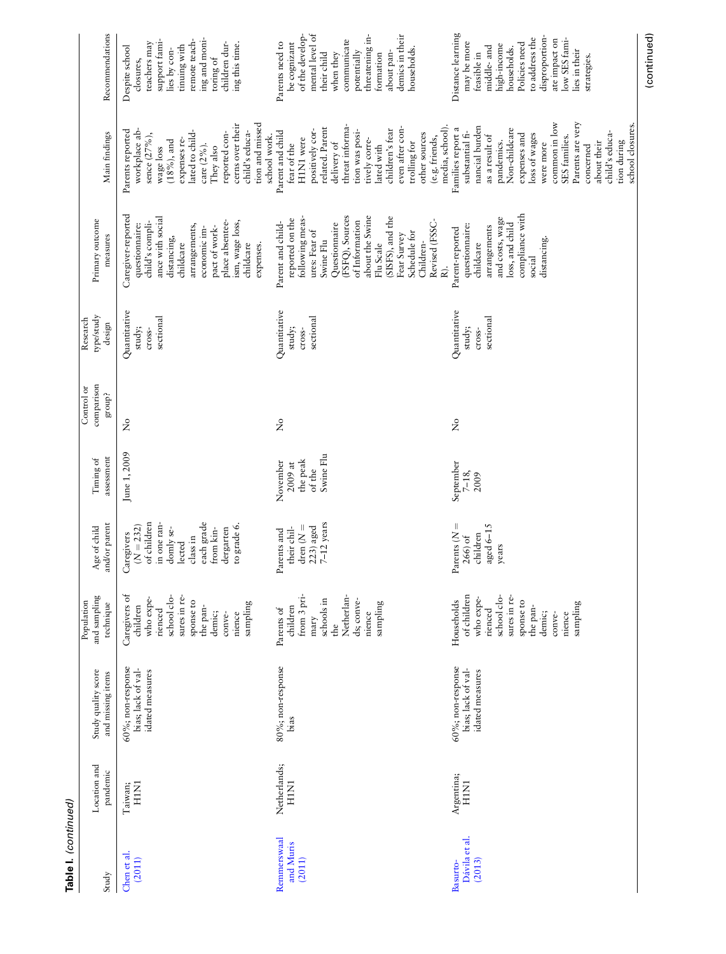| Study                               | Location and<br>pandemic                    | Study quality score<br>and missing items                   | and sampling<br>Population<br>technique                                                                                                             | and/or parent<br>Age of child                                                                                                                     | assessment<br>Timing of                                  | comparison<br>Control or<br>group? | type/study<br>Research<br>design                           | Primary outcome<br>measures                                                                                                                                                                                                                                   | Main findings                                                                                                                                                                                                                                                                                                   | Recommendations                                                                                                                                                                                                    |
|-------------------------------------|---------------------------------------------|------------------------------------------------------------|-----------------------------------------------------------------------------------------------------------------------------------------------------|---------------------------------------------------------------------------------------------------------------------------------------------------|----------------------------------------------------------|------------------------------------|------------------------------------------------------------|---------------------------------------------------------------------------------------------------------------------------------------------------------------------------------------------------------------------------------------------------------------|-----------------------------------------------------------------------------------------------------------------------------------------------------------------------------------------------------------------------------------------------------------------------------------------------------------------|--------------------------------------------------------------------------------------------------------------------------------------------------------------------------------------------------------------------|
| Chen et al.<br>(2011)               | <b>HIN1</b><br>Taiwan;                      | 60%; non-response<br>bias; lack of val-<br>idated measures | Caregivers of<br>school clo-<br>sures in re-<br>who expe-<br>sponse to<br>sampling<br>children<br>the pan-<br>rienced<br>demic;<br>nience<br>conve- | each grade<br>of children<br>in one ran-<br>to grade 6.<br>$(N = 232)$<br>from kin-<br>dergarten<br>domly se-<br>Caregivers<br>class in<br>lected | June 1, 2009                                             | $\mathsf{S}^{\mathsf{o}}$          | Quantitative<br>sectional<br>study;<br>CTOSS-              | Caregiver-reported<br>ance with social<br>place absentee-<br>ism, wage loss,<br>child's compli-<br>questionnaire:<br>arrangements,<br>pact of work-<br>economic im-<br>distancing,<br>childcare<br>childcare<br>expenses.                                     | tion and missed<br>cerns over their<br>workplace ab-<br>child's educa-<br>Parents reported<br>lated to child-<br>reported con-<br>sence (27%),<br>school work.<br>expenses re-<br>(18%), and<br>care (2%).<br>They also<br>wage loss                                                                            | ing and moni-<br>remote teach-<br>support fami-<br>children dur-<br>teachers may<br>ing this time.<br>tinuing with<br>Despite school<br>lies by con-<br>toring of<br>closures,                                     |
| Remmerswaal<br>and Muris<br>(2011)  | Netherlands;<br>H1N1                        | 80%; non-response<br>bias                                  | from 3 pri-<br>Netherlan-<br>schools in<br>ds; conve-<br>sampling<br>children<br>Parents of<br>nience<br>mary<br>the                                | $7-12$ years<br>dren $(N =$<br>$223)$ aged<br>their chil-<br>Parents and                                                                          | Swine Flu<br>the peak<br>November<br>$2009$ at<br>of the | $\frac{1}{2}$                      | Quantitative<br>sectional<br>study;<br>CTO <sub>SS</sub> - | (FSFQ), Sources<br>about the Swine<br>(SISFS), and the<br>reported on the<br>following meas-<br>of Information<br>Revised (FSSC-<br>Parent and child-<br>Questionnaire<br>ures: Fear of<br>Schedule for<br>Fear Survey<br>Swine Flu<br>Flu Scale<br>Children- | threat informa-<br>related. Parent<br>even after con-<br>children's fear<br>positively cor-<br>tion was posi-<br>Parent and child<br>other sources<br>(e.g. friends,<br>H1N1 were<br>tively corre-<br>trolling for<br>delivery of<br>fear of the<br>lated with                                                  | of the develop-<br>mental level of<br>demics in their<br>threatening in-<br>communicate<br>Parents need to<br>be cognizant<br>households.<br>potentially<br>about pan-<br>when they<br>their child<br>formation    |
| Dávila et al.<br>(2013)<br>Basurto- | Argentina;<br>H <sub>1</sub> N <sub>1</sub> | 60%; non-response<br>bias; lack of val-<br>idated measures | school clo-<br>sures in re-<br>of children<br>who expe-<br>Households<br>sponse to<br>sampling<br>the pan-<br>rienced<br>demic;<br>nience<br>conve- | Parents $(N =$<br>aged 6-15<br>children<br>$266$ ) of<br>years                                                                                    | September<br>$7 - 18,$<br>2009                           | $\frac{1}{2}$                      | Quantitative<br>sectional<br>study;<br>CTOSS-              | compliance with<br>and costs, wage<br>loss, and child<br>questionnaire:<br>arrangements<br>Parent-reported<br>distancing.<br>childcare<br>social<br>Ŕ).                                                                                                       | Parents are very<br>common in low<br>school closures.<br>nancial burden<br>media, school).<br>Non-childcare<br>Families report a<br>substantial fi-<br>expenses and<br>child's educa-<br>loss of wages<br>as a result of<br>SES families.<br>pandemics.<br>tion during<br>about their<br>were more<br>concerned | Distance learning<br>disproportion-<br>to address the<br>ate impact on<br>low SES fami-<br>may be more<br>Policies need<br>high-income<br>middle-and<br>households.<br>lies in their<br>feasible in<br>strategies. |

(continued) (continued)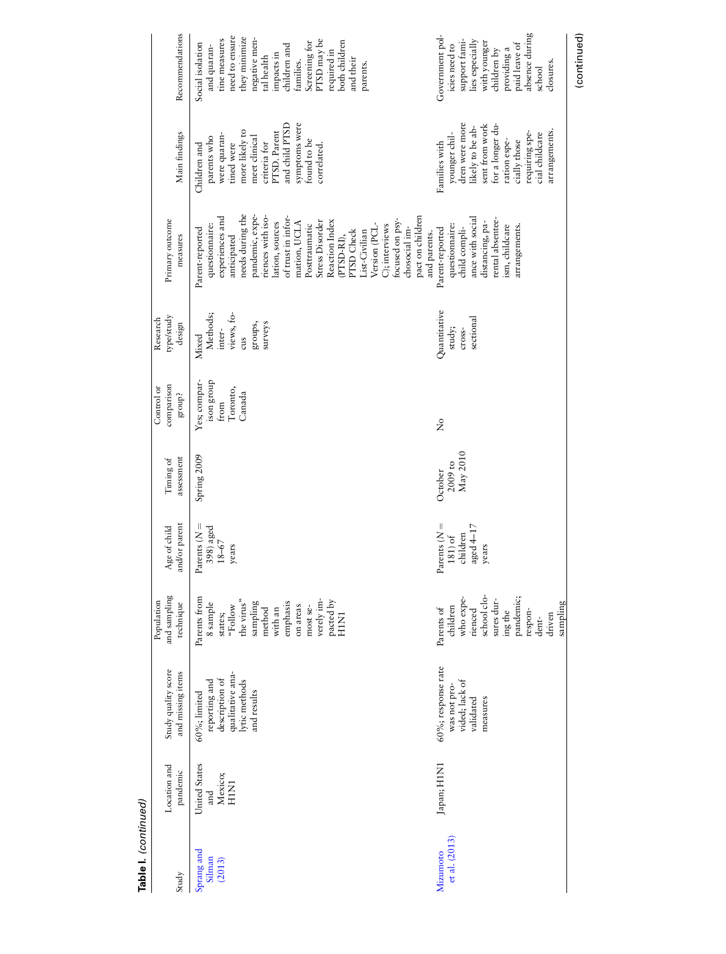| (continued)                |                                  |                                       |                        |                          |             |                      |                               |                     |               |               |
|----------------------------|----------------------------------|---------------------------------------|------------------------|--------------------------|-------------|----------------------|-------------------------------|---------------------|---------------|---------------|
| closures.                  | arrangements.                    |                                       |                        |                          |             |                      | sampling<br>driven            |                     |               |               |
| absence during<br>school   | requiring spe-<br>cial childcare |                                       |                        |                          |             |                      | respon-<br>dent-              |                     |               |               |
| paid leave of              | cially those                     | arrangements.                         |                        |                          |             |                      | pandemic;                     |                     |               |               |
| providing a                | ration espe-                     | ism, childcare                        |                        |                          |             |                      | ing the                       |                     |               |               |
| children by                | for a longer du-                 | rental absentee-                      |                        |                          |             |                      | sures dur-                    |                     |               |               |
| with younger               | sent from work                   | distancing, pa-                       |                        |                          |             | years                | school clo-                   | measures            |               |               |
| lies especially            | likely to be ab-                 | ance with social                      | sectional              |                          |             | aged 4-17            | rienced                       | validated           |               |               |
| support fami-              | dren were more                   | child compli-                         | $\text{cross-}$        |                          | May 2010    | children             | who expe-                     | vided; lack of      |               |               |
| icies need to              | younger chil-                    | questionnaire:                        | study;                 |                          | $2009$ to   | 181) of              | children                      | was not pro-        |               | et al. (2013) |
| Government pol-            | Families with                    | Parent-reported                       | Quantitative           | $\tilde{z}$              | October     | Parents $(N =$       | Parents of                    | 60%; response rate  | Japan; H1N1   | Mizumoto      |
|                            |                                  | pact on children<br>and parents.      |                        |                          |             |                      |                               |                     |               |               |
|                            |                                  | focused on psy-<br>chosocial im-      |                        |                          |             |                      |                               |                     |               |               |
|                            |                                  | C); interviews                        |                        |                          |             |                      |                               |                     |               |               |
| parents.                   |                                  | Version (PCL-<br>List-Civilian        |                        |                          |             |                      |                               |                     |               |               |
| and their                  |                                  | PTSD Check                            |                        |                          |             |                      |                               |                     |               |               |
| both children              |                                  | (PTSD-RI),                            |                        |                          |             |                      | H <sub>1</sub> N <sub>1</sub> |                     |               |               |
| required in                |                                  | Reaction Index                        |                        |                          |             |                      | pacted by                     |                     |               |               |
| PTSD may be                | correlated.                      | Stress Disorder                       |                        |                          |             |                      | verely im-                    |                     |               |               |
| Screening for              | found to be                      | Posttraumatic                         |                        |                          |             |                      | most se-                      |                     |               |               |
| families.                  | symptoms were                    | mation, UCLA                          |                        |                          |             |                      | on areas                      |                     |               |               |
| children and<br>impacts in | and child PTSD<br>PTSD. Parent   | of trust in infor-<br>lation, sources |                        |                          |             |                      | emphasis<br>with an           |                     |               |               |
| tal health                 | criteria for                     | riences with iso-                     | surveys                |                          |             |                      | method                        |                     |               |               |
| negative men-              | meet clinical                    | pandemic, expe-                       | groups,                |                          |             |                      | sampling                      | and results         |               |               |
| they minimize              | more likely to                   | needs during the                      | $\cos$                 | Canada                   |             |                      | the virus"                    | lytic methods       |               |               |
| need to ensure             | tined were                       | anticipated                           | views, fo-             | Toronto,                 |             | years                | "Follow                       | qualitative ana-    | H1N1          |               |
| tine measures              | were quaran-                     | experiences and                       | inter-                 | from                     |             | 398) aged<br>$18-67$ | states;                       | description of      | Mexico;       | (2013)        |
| and quaran-                | parents who                      | questionnaire:                        | Methods;               | ison group               |             |                      | 8 sample                      | reporting and       | and           | Silman        |
| Social isolation           | Children and                     | Parent-reported                       | Mixed                  | Yes; compar-             | Spring 2009 | Parents ( $N =$      | Parents from                  | 60%; limited        | United States | Sprang and    |
| Recommendations            | Main findings                    | measures                              | design                 | group?                   | assessment  | and/or parent        | technique                     | and missing items   | pandemic      | Study         |
|                            |                                  | Primary outcome                       | type/study<br>Research | comparison<br>Control or | Timing of   | Age of child         | and sampling<br>Population    | Study quality score | Location and  |               |
|                            |                                  |                                       |                        |                          |             |                      |                               |                     |               |               |

Table I. (continued)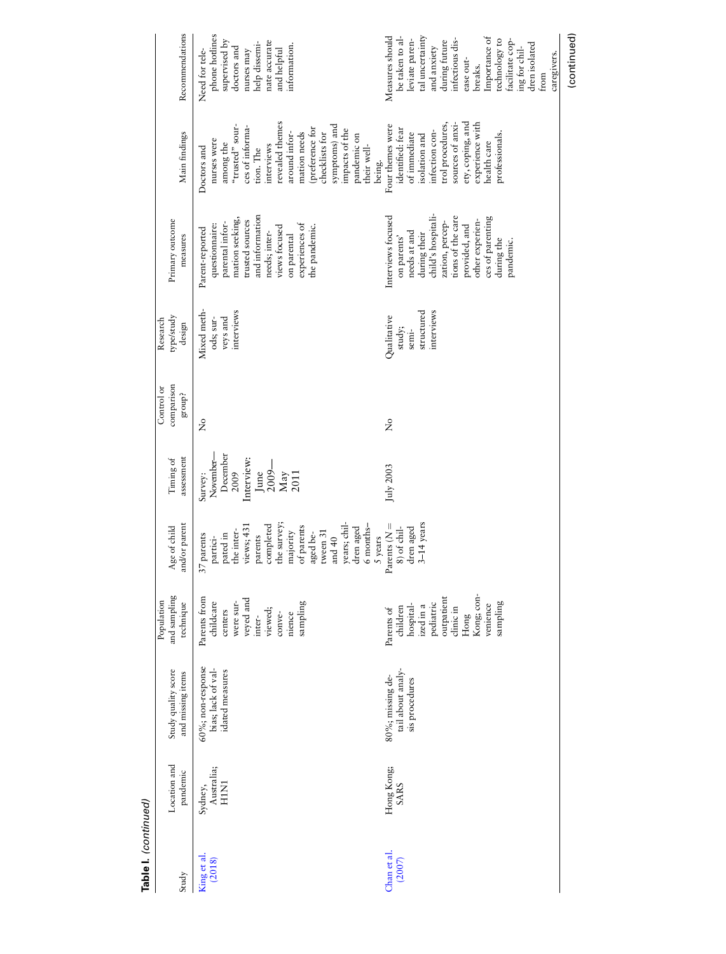| Table I. (continued)  |                               |                                                            |                                                                                                                                        |                                                                                                                                                                                                             |                                                                                        |                                    |                                                            |                                                                                                                                                                                                                    |                                                                                                                                                                                                                                                                    |                                                                                                                                                                                                                                                                  |
|-----------------------|-------------------------------|------------------------------------------------------------|----------------------------------------------------------------------------------------------------------------------------------------|-------------------------------------------------------------------------------------------------------------------------------------------------------------------------------------------------------------|----------------------------------------------------------------------------------------|------------------------------------|------------------------------------------------------------|--------------------------------------------------------------------------------------------------------------------------------------------------------------------------------------------------------------------|--------------------------------------------------------------------------------------------------------------------------------------------------------------------------------------------------------------------------------------------------------------------|------------------------------------------------------------------------------------------------------------------------------------------------------------------------------------------------------------------------------------------------------------------|
| Study                 | Location and<br>pandemic      | Study quality score<br>and missing items                   | and sampling<br>Population<br>technique                                                                                                | and/or parent<br>Age of child                                                                                                                                                                               | assessment<br>Timing of                                                                | comparison<br>Control or<br>group? | type/study<br>Research<br>design                           | Primary outcome<br>measures                                                                                                                                                                                        | Main findings                                                                                                                                                                                                                                                      | Recommendations                                                                                                                                                                                                                                                  |
| King et al.<br>(2018) | Australia;<br>H1N1<br>Sydney, | 60%; non-response<br>bias; lack of val-<br>idated measures | Parents from<br>veyed and<br>childcare<br>sampling<br>were sur-<br>viewed;<br>centers<br>nience<br>conve-<br>inter-                    | the survey;<br>years; chil-<br>6 months-<br>completed<br>of parents<br>views; 431<br>dren aged<br>the inter-<br>majority<br>aged be-<br>tween 31<br>pated in<br>parents<br>37 parents<br>and 40<br>partici- | December<br>November-<br>Interview:<br>2009-<br>2009<br>June<br>May<br>Survey:<br>2011 | $\tilde{z}$                        | Mixed meth-<br>interviews<br>veys and<br>ods; sur-         | and information<br>mation seeking,<br>trusted sources<br>parental infor-<br>experiences of<br>questionnaire:<br>the pandemic.<br>views focused<br>Parent-reported<br>needs; inter-<br>on parental                  | revealed themes<br>"trusted" sour-<br>symptoms) and<br>ces of informa-<br>(preference for<br>impacts of the<br>around infor-<br>mation needs<br>checklists for<br>pandemic on<br>nurses were<br>among the<br>interviews<br>their well-<br>Doctors and<br>tion. The | phone hotlines<br>supervised by<br>nate accurate<br>help dissemi-<br>information.<br>doctors and<br>and helpful<br>nurses may<br>Need for tele-                                                                                                                  |
| Chan et al.<br>(2007) | Hong Kong;<br><b>SARS</b>     | tail about analy-<br>80%; missing de-<br>sis procedures    | Kong; con-<br>outpatient<br>sampling<br>pediatric<br>hospital-<br>venience<br>ized in a<br>children<br>clinic in<br>Parents of<br>Hong | Parents ( $N =$<br>$3-14$ years<br>dren aged<br>8) of chil-<br>5 years                                                                                                                                      | July 2003                                                                              | $\tilde{z}$                        | structured<br>interviews<br>Qualitative<br>study;<br>semi- | child's hospitali-<br>Interviews focused<br>tions of the care<br>ces of parenting<br>other experien-<br>zation, percep-<br>provided, and<br>needs at and<br>during their<br>on parents'<br>during the<br>pandemic. | trol procedures,<br>sources of anxi-<br>ety, coping, and<br>experience with<br>Four themes were<br>identified: fear<br>infection con-<br>of immediate<br>professionals.<br>isolation and<br>health care<br>being.                                                  | Measures should<br>tal uncertainty<br>be taken to al-<br>Importance of<br>infectious dis-<br>technology to<br>facilitate cop-<br>leviate paren-<br>during future<br>dren isolated<br>and anxiety<br>ing for chil-<br>caregivers.<br>ease out-<br>breaks.<br>from |
|                       |                               |                                                            |                                                                                                                                        |                                                                                                                                                                                                             |                                                                                        |                                    |                                                            |                                                                                                                                                                                                                    |                                                                                                                                                                                                                                                                    | (continued)                                                                                                                                                                                                                                                      |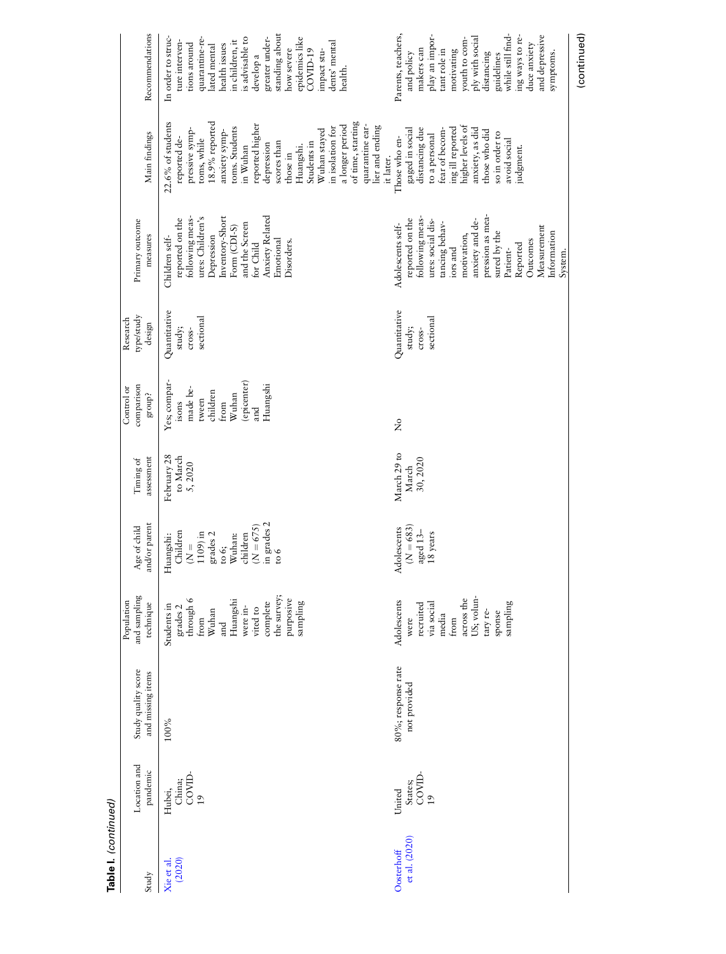| Study                       | Location and<br>pandemic                       | Study quality score<br>and missing items | and sampling<br>Population<br>technique                                                                                                              | and/or parent<br>Age of child                                                                                                                 | assessment<br>Timing of           | comparison<br>Control or<br>group?                                                                             | type/study<br>Research<br>design                | Primary outcome<br>measures                                                                                                                                                                                                                                   | Main findings                                                                                                                                                                                                                                                                                                                                 | Recommendations                                                                                                                                                                                                                                                                       |
|-----------------------------|------------------------------------------------|------------------------------------------|------------------------------------------------------------------------------------------------------------------------------------------------------|-----------------------------------------------------------------------------------------------------------------------------------------------|-----------------------------------|----------------------------------------------------------------------------------------------------------------|-------------------------------------------------|---------------------------------------------------------------------------------------------------------------------------------------------------------------------------------------------------------------------------------------------------------------|-----------------------------------------------------------------------------------------------------------------------------------------------------------------------------------------------------------------------------------------------------------------------------------------------------------------------------------------------|---------------------------------------------------------------------------------------------------------------------------------------------------------------------------------------------------------------------------------------------------------------------------------------|
| (2020)<br>Xie et al.        | China;<br>COVID-<br>Hubei,<br>$\overline{19}$  | 100%                                     | the survey;<br>purposive<br>grades 2<br>through 6<br>Huangshi<br>complete<br>sampling<br>Students in<br>were in-<br>vited to<br>Wuhan<br>from<br>and | in grades 2<br>$(N = 675)$<br>Children<br>1109) in<br>grades 2<br>children<br>Wuhan:<br>Huangshi:<br>to $6$ ;<br>$\equiv N($<br>$\frac{6}{1}$ | February 28<br>to March<br>5,2020 | Yes; compar-<br>epicenter)<br>Huangshi<br>made be-<br>children<br>Wuhan<br>tween<br>isons<br>from<br>nd<br>and | Quantitative<br>sectional<br>study;<br>$CTOSS-$ | Anxiety Related<br>ures: Children's<br>Inventory-Short<br>following meas-<br>reported on the<br>and the Screen<br>Form (CDI-S)<br>Depression<br>Children self-<br>Emotional<br>Disorders.<br>for Child                                                        | 22.6% of students<br>of time, starting<br>18.9% reported<br>reported higher<br>quarantine ear-<br>a longer period<br>lier and ending<br>in isolation for<br>toms. Students<br>pressive symp-<br>anxiety symp-<br>Wuhan stayed<br>reported de-<br>toms, while<br>Students in<br>scores than<br>depression<br>in Wuhan<br>Huangshi.<br>those in | standing about<br>In order to struc-<br>quarantine-re-<br>greater under-<br>is advisable to<br>epidemics like<br>in children, it<br>ture interven-<br>dents' mental<br>tions around<br>health issues<br>lated mental<br>COVID-19<br>how severe<br>impact stu-<br>develop a<br>health. |
| et al. (2020)<br>Oosterhoff | COVID-<br>States;<br>United<br>$\overline{19}$ | 80%; response rate<br>not provided       | US; volun-<br>across the<br>Adolescents<br>sampling<br>via social<br>recruited<br>tary re-<br>sponse<br>media<br>were<br>from                        | $(N = 683)$<br>Adolescents<br>aged 13-<br>18 years                                                                                            | March 29 to<br>30, 2020<br>March  | $\stackrel{\circ}{\mathbf{Z}}$                                                                                 | Quantitative<br>sectional<br>study;<br>cross-   | pression as mea-<br>following meas-<br>anxiety and de-<br>reported on the<br>ures: social dis-<br>tancing behav-<br>Adolescents self-<br>Measurement<br>sured by the<br>Information<br>motivation,<br>Outcomes<br>Reported<br>iors and<br>Patient-<br>System. | higher levels of<br>distancing due<br>ing ill reported<br>anxiety, as did<br>gaged in social<br>fear of becom-<br>those who did<br>so in order to<br>to a personal<br>Those who en-<br>avoid social<br>judgment.<br>it later.                                                                                                                 | Parents, teachers,<br>play an impor-<br>while still find-<br>and depressive<br>ing ways to re-<br>ply with social<br>youth to com-<br>duce anxiety<br>makers can<br>tant role in<br>motivating<br>and policy<br>symptoms.<br>distancing<br>guidelines                                 |
|                             |                                                |                                          |                                                                                                                                                      |                                                                                                                                               |                                   |                                                                                                                |                                                 |                                                                                                                                                                                                                                                               |                                                                                                                                                                                                                                                                                                                                               | (continued)                                                                                                                                                                                                                                                                           |

Table I. (continued)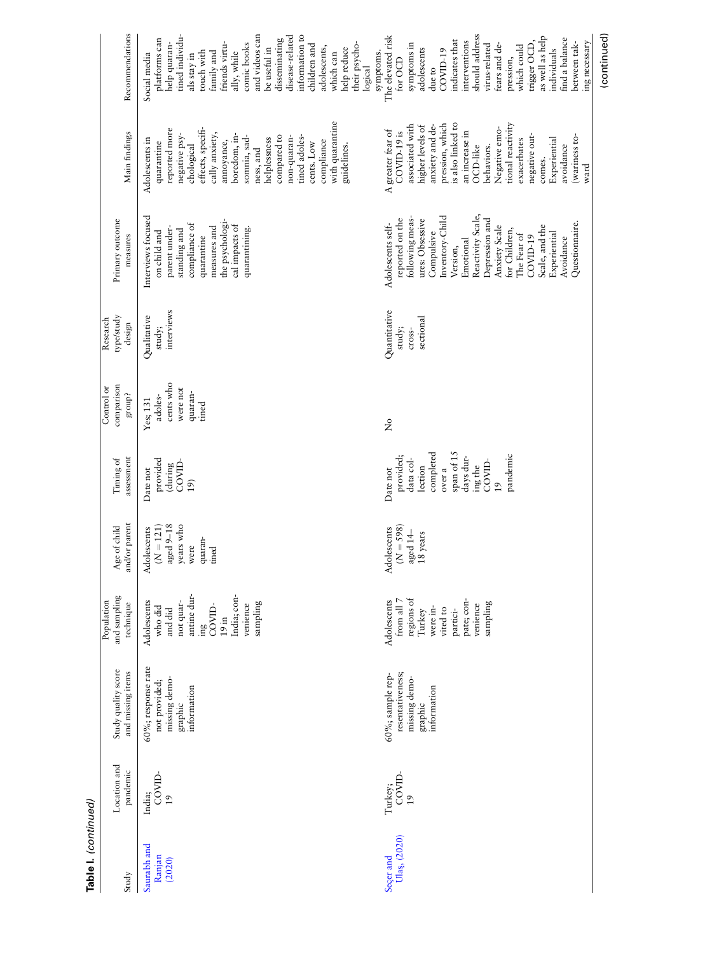| Table I. (continued)            |                                      |                                                                                    |                                                                                                                                                      |                                                                                  |                                                                                                                                                   |                                                                  |                                               |                                                                                                                                                                                                                                                                                                           |                                                                                                                                                                                                                                                                                                                     |                                                                                                                                                                                                                                                                                                                                                          |
|---------------------------------|--------------------------------------|------------------------------------------------------------------------------------|------------------------------------------------------------------------------------------------------------------------------------------------------|----------------------------------------------------------------------------------|---------------------------------------------------------------------------------------------------------------------------------------------------|------------------------------------------------------------------|-----------------------------------------------|-----------------------------------------------------------------------------------------------------------------------------------------------------------------------------------------------------------------------------------------------------------------------------------------------------------|---------------------------------------------------------------------------------------------------------------------------------------------------------------------------------------------------------------------------------------------------------------------------------------------------------------------|----------------------------------------------------------------------------------------------------------------------------------------------------------------------------------------------------------------------------------------------------------------------------------------------------------------------------------------------------------|
| Study                           | Location and<br>pandemic             | Study quality score<br>and missing items                                           | and sampling<br>Population<br>technique                                                                                                              | and/or parent<br>Age of child                                                    | assessment<br>Timing of                                                                                                                           | comparison<br>Control or<br>group?                               | type/study<br>Research<br>design              | Primary outcome<br>measures                                                                                                                                                                                                                                                                               | Main findings                                                                                                                                                                                                                                                                                                       | Recommendations                                                                                                                                                                                                                                                                                                                                          |
| Saurabh and<br>Ranjan<br>(2020) | COVID-<br>India;<br>$\overline{19}$  | $60\%$ ; response rate<br>missing demo-<br>not provided;<br>information<br>graphic | antine dur-<br>India; con-<br>not quar-<br>Adolescents<br>sampling<br>venience<br>who did<br>$\mathop{\rm ing}_\mathrm{COMD-}$<br>and did<br>$19$ in | aged 9-18<br>$(N = 121)$<br>years who<br>Adolescents<br>quaran-<br>were<br>tined | provided<br>(during<br>COVID-<br>Date not<br>(61)                                                                                                 | cents who<br>were not<br>quaran-<br>adoles-<br>Yes; 131<br>tined | interviews<br>Qualitative<br>study;           | Interviews focused<br>the psychologi-<br>compliance of<br>cal impacts of<br>measures and<br>parent under-<br>quarantining.<br>standing and<br>on child and<br>quarantine                                                                                                                                  | with quarantine<br>effects, specifi-<br>reported more<br>cally anxiety,<br>negative psy-<br>boredom, in-<br>compared to<br>non-quaran-<br>tined adoles-<br>somnia, sad-<br>helplessness<br>Adolescents in<br>annoyance,<br>compliance<br>quarantine<br>chological<br>cents. Low<br>guidelines.<br>ness, and         | tined individu-<br>and videos can<br>information to<br>disease-related<br>platforms can<br>disseminating<br>friends virtu-<br>comic books<br>their psycho-<br>help quaran-<br>children and<br>adolescents,<br>be useful in<br>help reduce<br>ally, while<br>touch with<br>family and<br>symptoms.<br>which can<br>Social media<br>als stay in<br>logical |
| Ulaş, (2020)<br>Seçer and       | COVID-<br>Turkey;<br>$\overline{19}$ | resentativeness;<br>60%; sample rep-<br>missing demo-<br>information<br>graphic    | regions of<br>pate; con-<br>Adolescents<br>from all 7<br>sampling<br>venience<br>were in-<br>vited to<br>Turkey<br>partici-                          | $(N = 598)$<br>Adolescents<br>aged 14-<br>18 years                               | span of 15<br>completed<br>provided;<br>pandemic<br>days dur-<br>data col-<br>COVID-<br>lection<br>ing the<br>Date not<br>over a<br>$\frac{1}{2}$ | $\mathsf{S}^{\mathsf{o}}$                                        | Quantitative<br>sectional<br>study;<br>cross- | Reactivity Scale,<br>following meas-<br>Inventory-Child<br>reported on the<br>ures: Obsessive<br>Depression and<br>Questionnaire.<br>Adolescents self-<br>Anxiety Scale<br>Scale, and the<br>for Children,<br>Compulsive<br>Experiential<br>The Fear of<br>COVID-19<br>Avoidance<br>Emotional<br>Version, | tional reactivity<br>pression, which<br>is also linked to<br>anxiety and de-<br>associated with<br>higher levels of<br>Negative emo-<br>A greater fear of<br>an increase in<br>COVID-19 is<br>negative out-<br>wariness to-<br>exacerbates<br>Experiential<br>behaviors.<br>OCD-like<br>avoidance<br>comes.<br>ward | should address<br>The elevated risk<br>as well as help<br>find a balance<br>indicates that<br>trigger OCD,<br>interventions<br>between tak-<br>ing necessary<br>symptoms in<br>virus-related<br>fears and de-<br>which could<br>individuals<br>adolescents<br>COVID-19<br>pression,<br>for OCD<br>due to                                                 |

(continued)

(continued)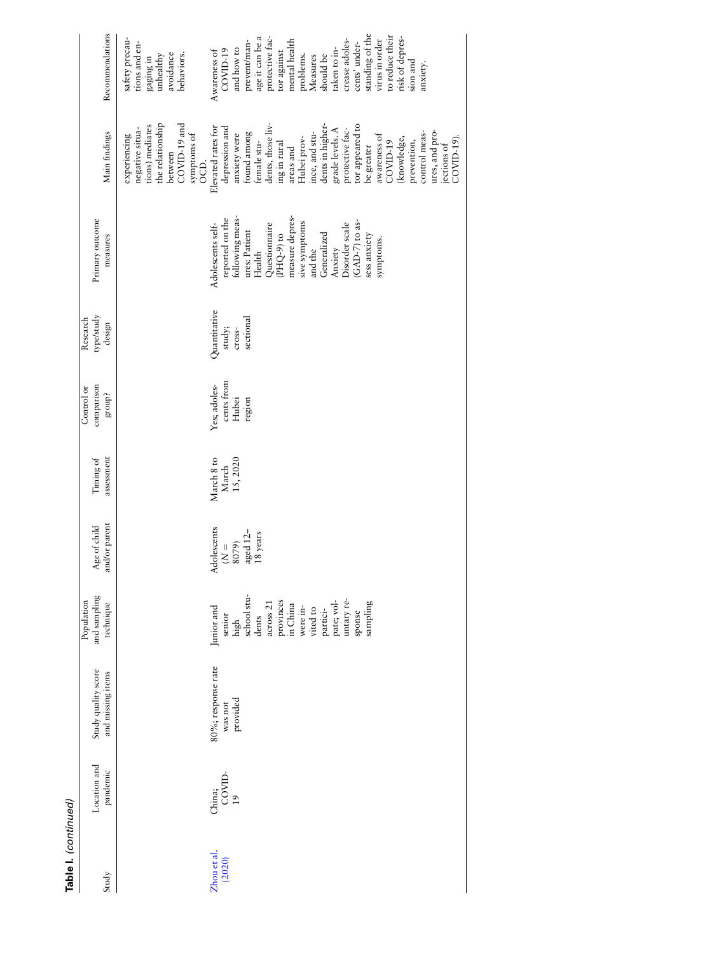| n |  |
|---|--|
|   |  |
|   |  |

| Study                                | Location and<br>pandemic | Study quality score<br>and missing items | and sampling<br>Population<br>technique | and/or parent<br>Age of child           | assessment<br>Timing of | comparison<br>Control or<br>group? | type/study<br>Research<br>design | Primary outcome<br>measures          | Main findings                                                          | Recommendations                                           |
|--------------------------------------|--------------------------|------------------------------------------|-----------------------------------------|-----------------------------------------|-------------------------|------------------------------------|----------------------------------|--------------------------------------|------------------------------------------------------------------------|-----------------------------------------------------------|
|                                      |                          |                                          |                                         |                                         |                         |                                    |                                  |                                      | the relationship<br>tions) mediates<br>negative situa-<br>experiencing | safety precau-<br>tions and en-<br>gaging in<br>unhealthy |
|                                      |                          |                                          |                                         |                                         |                         |                                    |                                  |                                      | COVID-19 and<br>between                                                | behaviors.<br>avoidance                                   |
|                                      |                          |                                          |                                         |                                         |                         |                                    |                                  |                                      | symptoms of<br>OCD.                                                    |                                                           |
| $\frac{Z \text{hou et al.}}{(2020)}$ | COVID-<br>China;         | 80%; response rate<br>was not            | Junior and                              | Adolescents                             | March 8 to<br>March     | Yes; adoles-                       | Quantitative<br>study;           | reported on the<br>Adolescents self- | Elevated rates for<br>depression and                                   | COVID-19<br>Awareness of                                  |
|                                      | $\overline{19}$          | provided                                 | senior<br>high<br>school stu-           |                                         | 15,2020                 | cents from<br>Hubei                | $\frac{1}{2}$                    | following meas-                      | anxiety were                                                           | and how to                                                |
|                                      |                          |                                          |                                         | $(N =$<br>8079)<br>aged 12-<br>18 years |                         | region                             | sectional                        | ures: Patient<br>Health              | found among<br>female stu-                                             | prevent/man-                                              |
|                                      |                          |                                          | dents                                   |                                         |                         |                                    |                                  |                                      |                                                                        | age it can be a                                           |
|                                      |                          |                                          | across 21                               |                                         |                         |                                    |                                  | Questionnaire<br>$(PHQ-9)$ to        | dents, those liv-<br>ing in rural                                      | protective fac-<br>tor against                            |
|                                      |                          |                                          | provinces<br>in China                   |                                         |                         |                                    |                                  | measure depres-                      | areas and                                                              | mental health                                             |
|                                      |                          |                                          | were in-                                |                                         |                         |                                    |                                  | sive symptoms                        | Hubei prov-                                                            | problems.                                                 |
|                                      |                          |                                          | vited to<br>partici-                    |                                         |                         |                                    |                                  | and the                              | ince, and stu-                                                         | Measures                                                  |
|                                      |                          |                                          |                                         |                                         |                         |                                    |                                  | Generalized                          | dents in higher-<br>grade levels. A                                    | should be                                                 |
|                                      |                          |                                          | pate; vol-                              |                                         |                         |                                    |                                  | Anxiety                              |                                                                        | taken to in-                                              |
|                                      |                          |                                          | untary re-                              |                                         |                         |                                    |                                  | Disorder scale                       | protective fac-                                                        | crease adoles-                                            |
|                                      |                          |                                          | iponse                                  |                                         |                         |                                    |                                  | $(GAD-7)$ to as-                     | tor appeared to                                                        | cents' under-                                             |
|                                      |                          |                                          | sampling                                |                                         |                         |                                    |                                  | sess anxiety                         | be greater                                                             | standing of the                                           |
|                                      |                          |                                          |                                         |                                         |                         |                                    |                                  | symptoms.                            | awareness of                                                           | virus in order                                            |
|                                      |                          |                                          |                                         |                                         |                         |                                    |                                  |                                      | COVID-19                                                               | to reduce their                                           |
|                                      |                          |                                          |                                         |                                         |                         |                                    |                                  |                                      | knowledge,                                                             | risk of depres-                                           |
|                                      |                          |                                          |                                         |                                         |                         |                                    |                                  |                                      | prevention,                                                            | sion and                                                  |
|                                      |                          |                                          |                                         |                                         |                         |                                    |                                  |                                      | control meas-                                                          | anxiety.                                                  |
|                                      |                          |                                          |                                         |                                         |                         |                                    |                                  |                                      | ures, and pro-                                                         |                                                           |
|                                      |                          |                                          |                                         |                                         |                         |                                    |                                  |                                      | COVID-19).<br>ections of                                               |                                                           |
|                                      |                          |                                          |                                         |                                         |                         |                                    |                                  |                                      |                                                                        |                                                           |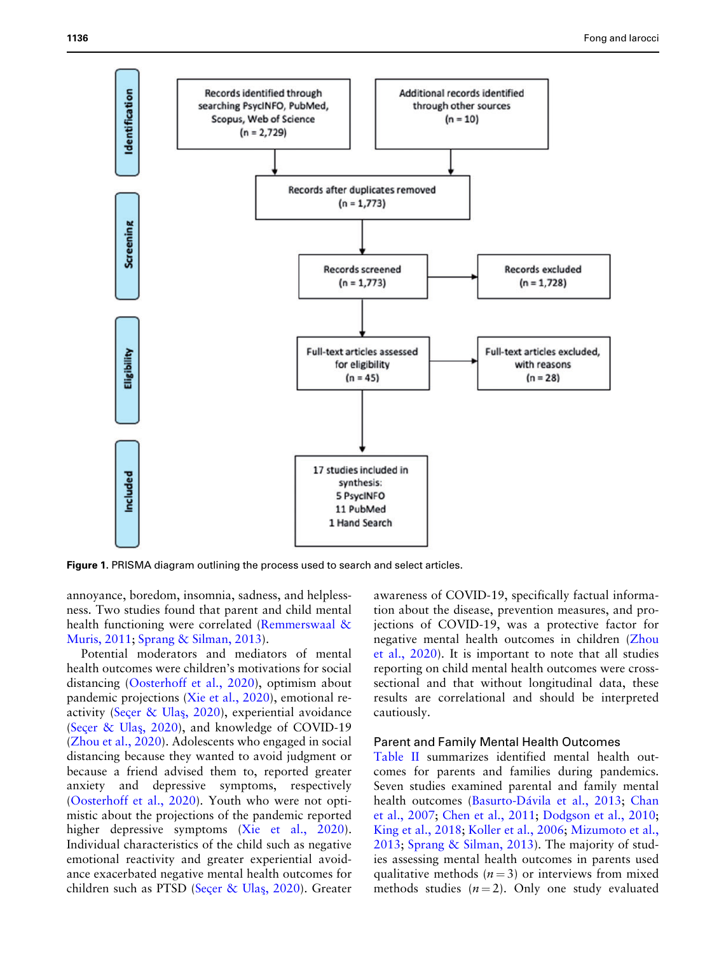<span id="page-12-0"></span>

Figure 1. PRISMA diagram outlining the process used to search and select articles.

annoyance, boredom, insomnia, sadness, and helplessness. Two studies found that parent and child mental health functioning were correlated ([Remmerswaal](#page-18-0) & [Muris, 2011](#page-18-0); [Sprang & Silman, 2013\)](#page-18-0).

Potential moderators and mediators of mental health outcomes were children's motivations for social distancing ([Oosterhoff et al., 2020\)](#page-18-0), optimism about pandemic projections ([Xie et al., 2020](#page-18-0)), emotional re-activity ([Se](#page-18-0)c[er & Ula](#page-18-0)s[, 2020\)](#page-18-0), experiential avoidance ([Se](#page-18-0)c[er](#page-18-0) & [Ula](#page-18-0)s[, 2020\)](#page-18-0), and knowledge of COVID-19 ([Zhou et al., 2020](#page-18-0)). Adolescents who engaged in social distancing because they wanted to avoid judgment or because a friend advised them to, reported greater anxiety and depressive symptoms, respectively ([Oosterhoff et al., 2020\)](#page-18-0). Youth who were not optimistic about the projections of the pandemic reported higher depressive symptoms [\(Xie et al., 2020\)](#page-18-0). Individual characteristics of the child such as negative emotional reactivity and greater experiential avoidance exacerbated negative mental health outcomes for children such as PTSD (Secser & Ulas[, 2020](#page-18-0)). Greater

awareness of COVID-19, specifically factual information about the disease, prevention measures, and projections of COVID-19, was a protective factor for negative mental health outcomes in children ([Zhou](#page-18-0) [et al., 2020\)](#page-18-0). It is important to note that all studies reporting on child mental health outcomes were crosssectional and that without longitudinal data, these results are correlational and should be interpreted cautiously.

#### Parent and Family Mental Health Outcomes

[Table II](#page-13-0) summarizes identified mental health outcomes for parents and families during pandemics. Seven studies examined parental and family mental health outcomes [\(Basurto-D](#page-17-0)á[vila et al., 2013;](#page-17-0) [Chan](#page-17-0) [et al., 2007;](#page-17-0) [Chen et al., 2011](#page-17-0); [Dodgson et al., 2010;](#page-17-0) [King et al., 2018;](#page-17-0) [Koller et al., 2006;](#page-18-0) [Mizumoto et al.,](#page-18-0) [2013;](#page-18-0) [Sprang & Silman, 2013](#page-18-0)). The majority of studies assessing mental health outcomes in parents used qualitative methods  $(n = 3)$  or interviews from mixed methods studies  $(n = 2)$ . Only one study evaluated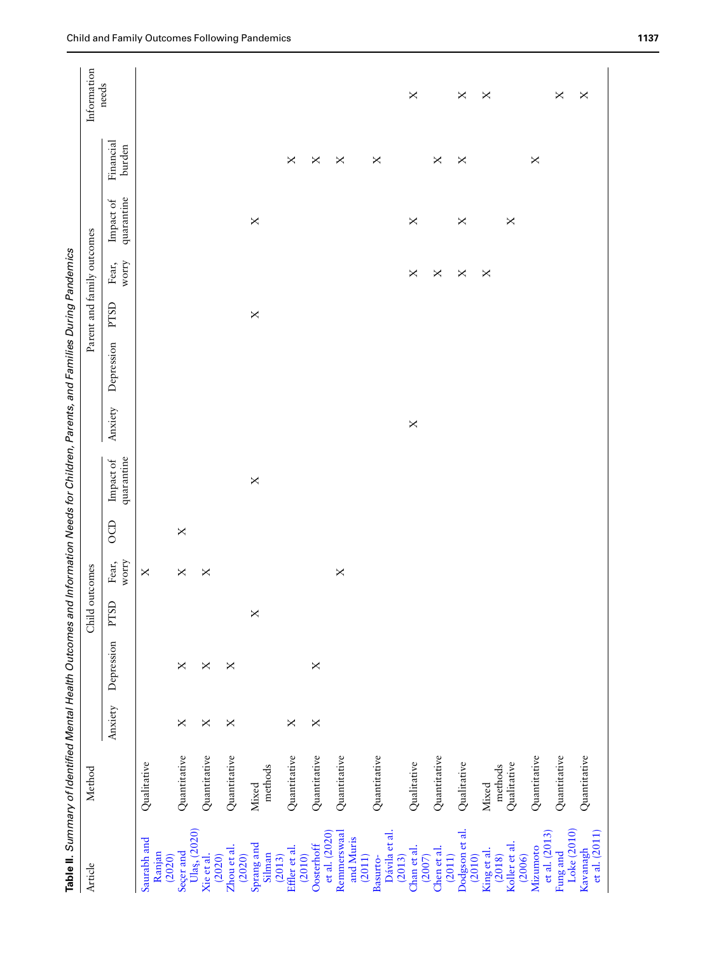<span id="page-13-0"></span>

| Article                                   | Method                 |          |            | Child outcomes |                       |           |                         |          |            |          | Parent and family outcomes |                         |                     | Information |
|-------------------------------------------|------------------------|----------|------------|----------------|-----------------------|-----------|-------------------------|----------|------------|----------|----------------------------|-------------------------|---------------------|-------------|
|                                           |                        | Anxiety  | Depression | PTSD           | worry<br>Fear,        | <b>CO</b> | quarantine<br>Impact of | Anxiety  | Depression | PTSD     | WOITY<br>Fear,             | quarantine<br>Impact of | Financial<br>burden | needs       |
| Saurabh and<br>Ranjan<br>(2020)           | Qualitative            |          |            |                | $\boldsymbol{\times}$ |           |                         |          |            |          |                            |                         |                     |             |
| Ulaş, (2020)<br>Seçer and                 | Quantitative           | $\times$ | $\times$   |                | $\boldsymbol{\times}$ | $\times$  |                         |          |            |          |                            |                         |                     |             |
| (2020)<br>Xie et al.                      | Quantitative           | $\times$ | ×          |                | $\times$              |           |                         |          |            |          |                            |                         |                     |             |
| Zhou et al.<br>(2020)                     | Quantitative           | $\times$ | $\times$   |                |                       |           |                         |          |            |          |                            |                         |                     |             |
| Sprang and<br>Silman                      | methods<br>Mixed       |          |            | $\mathsf{X}$   |                       |           | $\times$                |          |            | $\times$ |                            | $\times$                |                     |             |
| Effler et al.<br>(2013)                   | Quantitative           | $\times$ |            |                |                       |           |                         |          |            |          |                            |                         | $\times$            |             |
| Oosterhoff<br>(2010)                      | Quantitative           | $\times$ | $\times$   |                |                       |           |                         |          |            |          |                            |                         | $\times$            |             |
| et al. (2020)<br>Remmerswaal<br>and Muris | Quantitative           |          |            |                | $\times$              |           |                         |          |            |          |                            |                         | $\times$            |             |
| (2011)                                    |                        |          |            |                |                       |           |                         |          |            |          |                            |                         |                     |             |
| Dávila et al.<br>(2013)<br>Basurto-       | Quantitative           |          |            |                |                       |           |                         |          |            |          |                            |                         | $\times$            |             |
| Chan et al.<br>(2007)                     | Qualitative            |          |            |                |                       |           |                         | $\times$ |            |          | $\times$                   | $\times$                |                     | $\times$    |
| Chen et al.<br>(2011)                     | Quantitative           |          |            |                |                       |           |                         |          |            |          | $\times$                   |                         | $\times$            |             |
| Dodgson et al.<br>(2010)                  | Qualitative            |          |            |                |                       |           |                         |          |            |          | $\times$                   | $\times$                | $\times$            | $\times$    |
| King et al.                               | Mixed                  |          |            |                |                       |           |                         |          |            |          | $\times$                   |                         |                     | $\times$    |
| Koller et al.<br>(2018)                   | Qualitative<br>methods |          |            |                |                       |           |                         |          |            |          |                            | $\times$                |                     |             |
| Mizumoto<br>(2006)                        | Quantitative           |          |            |                |                       |           |                         |          |            |          |                            |                         | $\times$            |             |
| et al. (2013)<br>Fung and                 | Quantitative           |          |            |                |                       |           |                         |          |            |          |                            |                         |                     | $\times$    |
| Loke (2010)<br>et al. (2011)<br>Kavanagh  | Quantitative           |          |            |                |                       |           |                         |          |            |          |                            |                         |                     | $\times$    |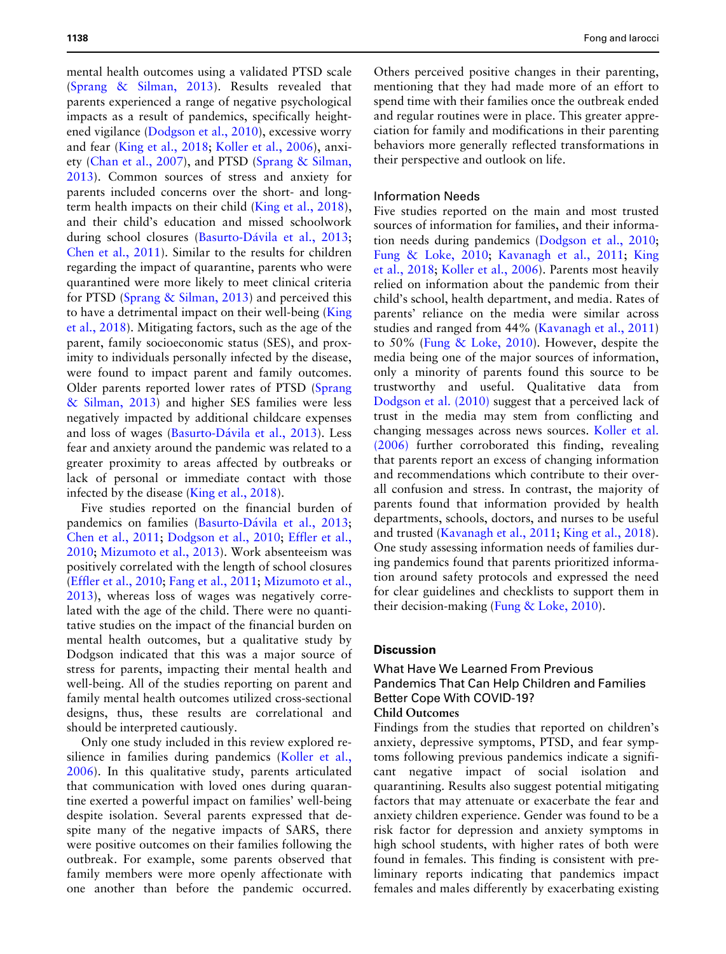mental health outcomes using a validated PTSD scale ([Sprang & Silman, 2013](#page-18-0)). Results revealed that parents experienced a range of negative psychological impacts as a result of pandemics, specifically heightened vigilance [\(Dodgson et al., 2010\)](#page-17-0), excessive worry and fear [\(King et al., 2018;](#page-17-0) [Koller et al., 2006\)](#page-18-0), anxiety [\(Chan et al., 2007](#page-17-0)), and PTSD [\(Sprang & Silman,](#page-18-0) [2013\)](#page-18-0). Common sources of stress and anxiety for parents included concerns over the short- and longterm health impacts on their child [\(King et al., 2018\)](#page-17-0), and their child's education and missed schoolwork during school closures ([Basurto-D](#page-17-0)ávila et al., 2013; [Chen et al., 2011\)](#page-17-0). Similar to the results for children regarding the impact of quarantine, parents who were quarantined were more likely to meet clinical criteria for PTSD ([Sprang](#page-18-0) & [Silman, 2013](#page-18-0)) and perceived this to have a detrimental impact on their well-being [\(King](#page-17-0) [et al., 2018\)](#page-17-0). Mitigating factors, such as the age of the parent, family socioeconomic status (SES), and proximity to individuals personally infected by the disease, were found to impact parent and family outcomes. Older parents reported lower rates of PTSD ([Sprang](#page-18-0) [& Silman, 2013](#page-18-0)) and higher SES families were less negatively impacted by additional childcare expenses and loss of wages [\(Basurto-D](#page-17-0)á[vila et al., 2013](#page-17-0)). Less fear and anxiety around the pandemic was related to a greater proximity to areas affected by outbreaks or lack of personal or immediate contact with those infected by the disease ([King et al., 2018](#page-17-0)).

Five studies reported on the financial burden of pandemics on families ([Basurto-D](#page-17-0)ávila et al., 2013; [Chen et al., 2011](#page-17-0); [Dodgson et al., 2010](#page-17-0); [Effler et al.,](#page-17-0) [2010;](#page-17-0) [Mizumoto et al., 2013](#page-18-0)). Work absenteeism was positively correlated with the length of school closures ([Effler et al., 2010](#page-17-0); [Fang et al., 2011](#page-17-0); [Mizumoto et al.,](#page-18-0) [2013\)](#page-18-0), whereas loss of wages was negatively correlated with the age of the child. There were no quantitative studies on the impact of the financial burden on mental health outcomes, but a qualitative study by Dodgson indicated that this was a major source of stress for parents, impacting their mental health and well-being. All of the studies reporting on parent and family mental health outcomes utilized cross-sectional designs, thus, these results are correlational and should be interpreted cautiously.

Only one study included in this review explored resilience in families during pandemics [\(Koller et al.,](#page-18-0) [2006\)](#page-18-0). In this qualitative study, parents articulated that communication with loved ones during quarantine exerted a powerful impact on families' well-being despite isolation. Several parents expressed that despite many of the negative impacts of SARS, there were positive outcomes on their families following the outbreak. For example, some parents observed that family members were more openly affectionate with one another than before the pandemic occurred.

Others perceived positive changes in their parenting, mentioning that they had made more of an effort to spend time with their families once the outbreak ended and regular routines were in place. This greater appreciation for family and modifications in their parenting behaviors more generally reflected transformations in their perspective and outlook on life.

#### Information Needs

Five studies reported on the main and most trusted sources of information for families, and their information needs during pandemics [\(Dodgson et al., 2010;](#page-17-0) [Fung & Loke, 2010;](#page-17-0) [Kavanagh et al., 2011;](#page-17-0) [King](#page-17-0) [et al., 2018](#page-17-0); [Koller et al., 2006\)](#page-18-0). Parents most heavily relied on information about the pandemic from their child's school, health department, and media. Rates of parents' reliance on the media were similar across studies and ranged from 44% ([Kavanagh et al., 2011](#page-17-0)) to 50% ([Fung](#page-17-0) & [Loke, 2010](#page-17-0)). However, despite the media being one of the major sources of information, only a minority of parents found this source to be trustworthy and useful. Qualitative data from [Dodgson et al. \(2010\)](#page-17-0) suggest that a perceived lack of trust in the media may stem from conflicting and changing messages across news sources. [Koller et al.](#page-18-0) [\(2006\)](#page-18-0) further corroborated this finding, revealing that parents report an excess of changing information and recommendations which contribute to their overall confusion and stress. In contrast, the majority of parents found that information provided by health departments, schools, doctors, and nurses to be useful and trusted ([Kavanagh et al., 2011;](#page-17-0) [King et al., 2018\)](#page-17-0). One study assessing information needs of families during pandemics found that parents prioritized information around safety protocols and expressed the need for clear guidelines and checklists to support them in their decision-making ([Fung & Loke, 2010\)](#page-17-0).

## **Discussion**

# What Have We Learned From Previous Pandemics That Can Help Children and Families Better Cope With COVID-19? Child Outcomes

Findings from the studies that reported on children's anxiety, depressive symptoms, PTSD, and fear symptoms following previous pandemics indicate a significant negative impact of social isolation and quarantining. Results also suggest potential mitigating factors that may attenuate or exacerbate the fear and anxiety children experience. Gender was found to be a risk factor for depression and anxiety symptoms in high school students, with higher rates of both were found in females. This finding is consistent with preliminary reports indicating that pandemics impact females and males differently by exacerbating existing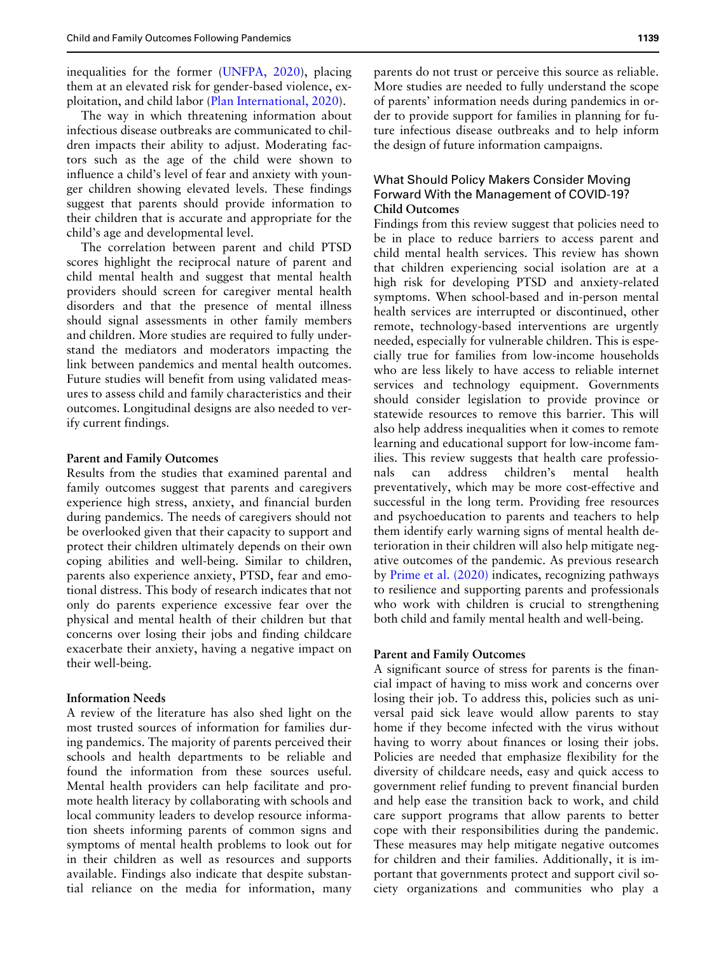inequalities for the former ([UNFPA, 2020](#page-18-0)), placing them at an elevated risk for gender-based violence, exploitation, and child labor ([Plan International, 2020\)](#page-18-0).

The way in which threatening information about infectious disease outbreaks are communicated to children impacts their ability to adjust. Moderating factors such as the age of the child were shown to influence a child's level of fear and anxiety with younger children showing elevated levels. These findings suggest that parents should provide information to their children that is accurate and appropriate for the child's age and developmental level.

The correlation between parent and child PTSD scores highlight the reciprocal nature of parent and child mental health and suggest that mental health providers should screen for caregiver mental health disorders and that the presence of mental illness should signal assessments in other family members and children. More studies are required to fully understand the mediators and moderators impacting the link between pandemics and mental health outcomes. Future studies will benefit from using validated measures to assess child and family characteristics and their outcomes. Longitudinal designs are also needed to verify current findings.

## Parent and Family Outcomes

Results from the studies that examined parental and family outcomes suggest that parents and caregivers experience high stress, anxiety, and financial burden during pandemics. The needs of caregivers should not be overlooked given that their capacity to support and protect their children ultimately depends on their own coping abilities and well-being. Similar to children, parents also experience anxiety, PTSD, fear and emotional distress. This body of research indicates that not only do parents experience excessive fear over the physical and mental health of their children but that concerns over losing their jobs and finding childcare exacerbate their anxiety, having a negative impact on their well-being.

#### Information Needs

A review of the literature has also shed light on the most trusted sources of information for families during pandemics. The majority of parents perceived their schools and health departments to be reliable and found the information from these sources useful. Mental health providers can help facilitate and promote health literacy by collaborating with schools and local community leaders to develop resource information sheets informing parents of common signs and symptoms of mental health problems to look out for in their children as well as resources and supports available. Findings also indicate that despite substantial reliance on the media for information, many

parents do not trust or perceive this source as reliable. More studies are needed to fully understand the scope of parents' information needs during pandemics in order to provide support for families in planning for future infectious disease outbreaks and to help inform the design of future information campaigns.

# What Should Policy Makers Consider Moving Forward With the Management of COVID-19? Child Outcomes

Findings from this review suggest that policies need to be in place to reduce barriers to access parent and child mental health services. This review has shown that children experiencing social isolation are at a high risk for developing PTSD and anxiety-related symptoms. When school-based and in-person mental health services are interrupted or discontinued, other remote, technology-based interventions are urgently needed, especially for vulnerable children. This is especially true for families from low-income households who are less likely to have access to reliable internet services and technology equipment. Governments should consider legislation to provide province or statewide resources to remove this barrier. This will also help address inequalities when it comes to remote learning and educational support for low-income families. This review suggests that health care professionals can address children's mental health preventatively, which may be more cost-effective and successful in the long term. Providing free resources and psychoeducation to parents and teachers to help them identify early warning signs of mental health deterioration in their children will also help mitigate negative outcomes of the pandemic. As previous research by [Prime et al. \(2020\)](#page-18-0) indicates, recognizing pathways to resilience and supporting parents and professionals who work with children is crucial to strengthening both child and family mental health and well-being.

#### Parent and Family Outcomes

A significant source of stress for parents is the financial impact of having to miss work and concerns over losing their job. To address this, policies such as universal paid sick leave would allow parents to stay home if they become infected with the virus without having to worry about finances or losing their jobs. Policies are needed that emphasize flexibility for the diversity of childcare needs, easy and quick access to government relief funding to prevent financial burden and help ease the transition back to work, and child care support programs that allow parents to better cope with their responsibilities during the pandemic. These measures may help mitigate negative outcomes for children and their families. Additionally, it is important that governments protect and support civil society organizations and communities who play a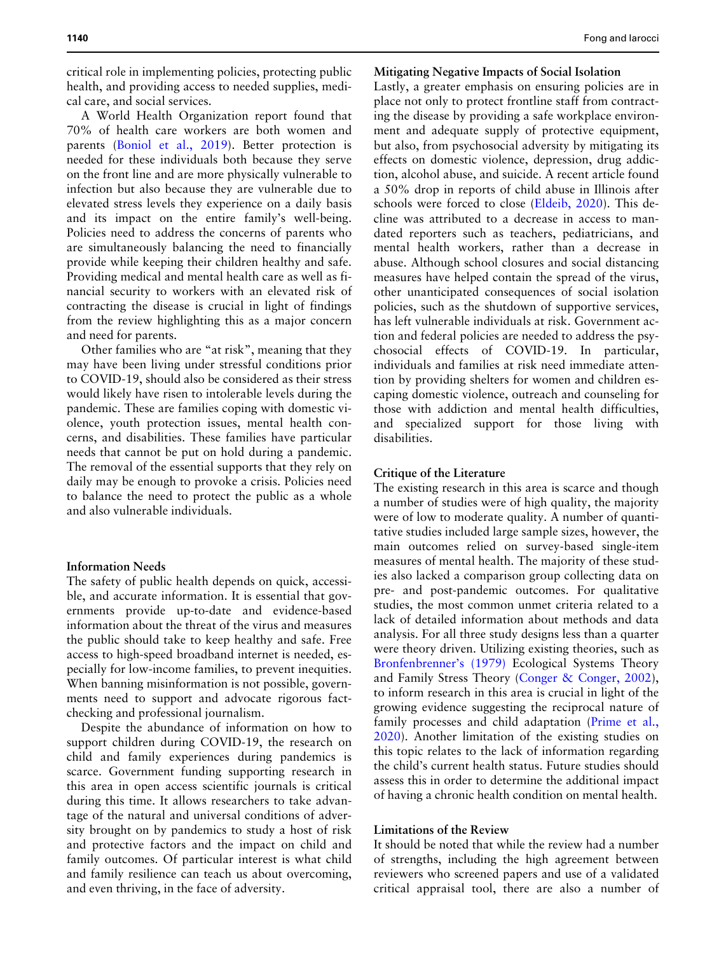critical role in implementing policies, protecting public health, and providing access to needed supplies, medical care, and social services.

A World Health Organization report found that 70% of health care workers are both women and parents ([Boniol et al., 2019\)](#page-17-0). Better protection is needed for these individuals both because they serve on the front line and are more physically vulnerable to infection but also because they are vulnerable due to elevated stress levels they experience on a daily basis and its impact on the entire family's well-being. Policies need to address the concerns of parents who are simultaneously balancing the need to financially provide while keeping their children healthy and safe. Providing medical and mental health care as well as financial security to workers with an elevated risk of contracting the disease is crucial in light of findings from the review highlighting this as a major concern and need for parents.

Other families who are "at risk", meaning that they may have been living under stressful conditions prior to COVID-19, should also be considered as their stress would likely have risen to intolerable levels during the pandemic. These are families coping with domestic violence, youth protection issues, mental health concerns, and disabilities. These families have particular needs that cannot be put on hold during a pandemic. The removal of the essential supports that they rely on daily may be enough to provoke a crisis. Policies need to balance the need to protect the public as a whole and also vulnerable individuals.

#### Information Needs

The safety of public health depends on quick, accessible, and accurate information. It is essential that governments provide up-to-date and evidence-based information about the threat of the virus and measures the public should take to keep healthy and safe. Free access to high-speed broadband internet is needed, especially for low-income families, to prevent inequities. When banning misinformation is not possible, governments need to support and advocate rigorous factchecking and professional journalism.

Despite the abundance of information on how to support children during COVID-19, the research on child and family experiences during pandemics is scarce. Government funding supporting research in this area in open access scientific journals is critical during this time. It allows researchers to take advantage of the natural and universal conditions of adversity brought on by pandemics to study a host of risk and protective factors and the impact on child and family outcomes. Of particular interest is what child and family resilience can teach us about overcoming, and even thriving, in the face of adversity.

## Mitigating Negative Impacts of Social Isolation

Lastly, a greater emphasis on ensuring policies are in place not only to protect frontline staff from contracting the disease by providing a safe workplace environment and adequate supply of protective equipment, but also, from psychosocial adversity by mitigating its effects on domestic violence, depression, drug addiction, alcohol abuse, and suicide. A recent article found a 50% drop in reports of child abuse in Illinois after schools were forced to close ([Eldeib, 2020\)](#page-17-0). This decline was attributed to a decrease in access to mandated reporters such as teachers, pediatricians, and mental health workers, rather than a decrease in abuse. Although school closures and social distancing measures have helped contain the spread of the virus, other unanticipated consequences of social isolation policies, such as the shutdown of supportive services, has left vulnerable individuals at risk. Government action and federal policies are needed to address the psychosocial effects of COVID-19. In particular, individuals and families at risk need immediate attention by providing shelters for women and children escaping domestic violence, outreach and counseling for those with addiction and mental health difficulties, and specialized support for those living with disabilities.

#### Critique of the Literature

The existing research in this area is scarce and though a number of studies were of high quality, the majority were of low to moderate quality. A number of quantitative studies included large sample sizes, however, the main outcomes relied on survey-based single-item measures of mental health. The majority of these studies also lacked a comparison group collecting data on pre- and post-pandemic outcomes. For qualitative studies, the most common unmet criteria related to a lack of detailed information about methods and data analysis. For all three study designs less than a quarter were theory driven. Utilizing existing theories, such as [Bronfenbrenner's \(1979\)](#page-17-0) Ecological Systems Theory and Family Stress Theory ([Conger](#page-17-0) & [Conger, 2002\)](#page-17-0), to inform research in this area is crucial in light of the growing evidence suggesting the reciprocal nature of family processes and child adaptation ([Prime et al.,](#page-18-0) [2020\)](#page-18-0). Another limitation of the existing studies on this topic relates to the lack of information regarding the child's current health status. Future studies should assess this in order to determine the additional impact of having a chronic health condition on mental health.

#### Limitations of the Review

It should be noted that while the review had a number of strengths, including the high agreement between reviewers who screened papers and use of a validated critical appraisal tool, there are also a number of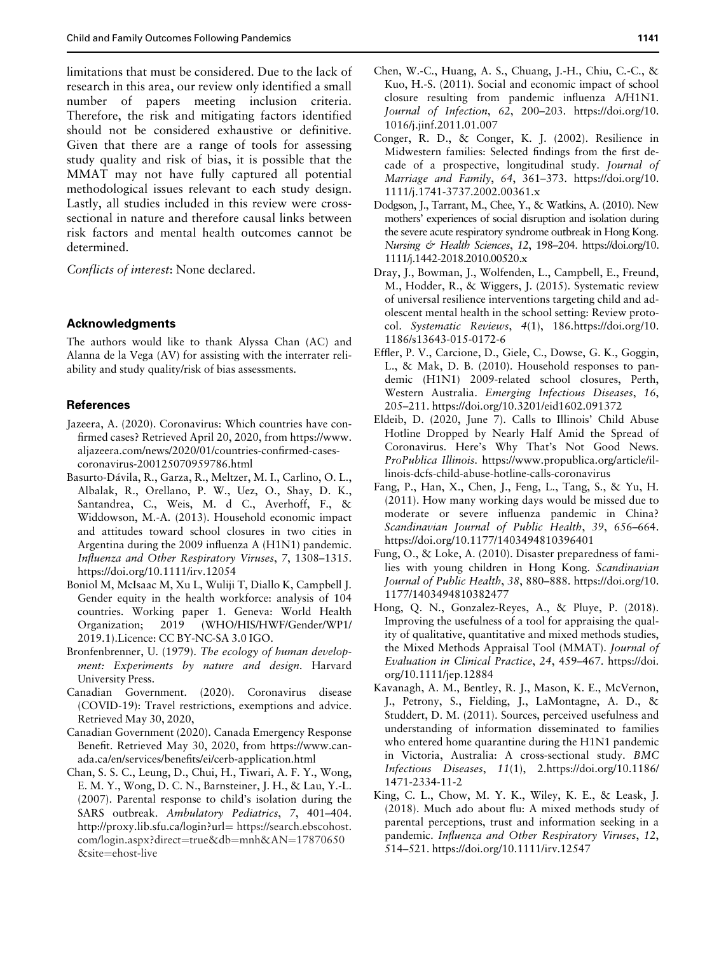<span id="page-17-0"></span>limitations that must be considered. Due to the lack of research in this area, our review only identified a small number of papers meeting inclusion criteria. Therefore, the risk and mitigating factors identified should not be considered exhaustive or definitive. Given that there are a range of tools for assessing study quality and risk of bias, it is possible that the MMAT may not have fully captured all potential methodological issues relevant to each study design. Lastly, all studies included in this review were crosssectional in nature and therefore causal links between risk factors and mental health outcomes cannot be determined.

Conflicts of interest: None declared.

#### Acknowledgments

The authors would like to thank Alyssa Chan (AC) and Alanna de la Vega (AV) for assisting with the interrater reliability and study quality/risk of bias assessments.

#### References

- Jazeera, A. (2020). Coronavirus: Which countries have confirmed cases? Retrieved April 20, 2020, from [https://www.](https://www.aljazeera.com/news/2020/01/countries-confirmed-cases-coronavirus-200125070959786.html) [aljazeera.com/news/2020/01/countries-confirmed-cases](https://www.aljazeera.com/news/2020/01/countries-confirmed-cases-coronavirus-200125070959786.html)[coronavirus-200125070959786.html](https://www.aljazeera.com/news/2020/01/countries-confirmed-cases-coronavirus-200125070959786.html)
- Basurto-Dávila, R., Garza, R., Meltzer, M. I., Carlino, O. L., Albalak, R., Orellano, P. W., Uez, O., Shay, D. K., Santandrea, C., Weis, M. d C., Averhoff, F., & Widdowson, M.-A. (2013). Household economic impact and attitudes toward school closures in two cities in Argentina during the 2009 influenza A (H1N1) pandemic. Influenza and Other Respiratory Viruses, 7, 1308–1315. <https://doi.org/10.1111/irv.12054>
- Boniol M, McIsaac M, Xu L, Wuliji T, Diallo K, Campbell J. Gender equity in the health workforce: analysis of 104 countries. Working paper 1. Geneva: World Health Organization; 2019 (WHO/HIS/HWF/Gender/WP1/ 2019.1).Licence: CC BY-NC-SA 3.0 IGO.
- Bronfenbrenner, U. (1979). The ecology of human development: Experiments by nature and design. Harvard University Press.
- Canadian Government. (2020). Coronavirus disease (COVID-19): Travel restrictions, exemptions and advice. Retrieved May 30, 2020,
- Canadian Government (2020). Canada Emergency Response Benefit. Retrieved May 30, 2020, from [https://www.can](https://www.canada.ca/en/services/benefits/ei/cerb-application.html)[ada.ca/en/services/benefits/ei/cerb-application.html](https://www.canada.ca/en/services/benefits/ei/cerb-application.html)
- Chan, S. S. C., Leung, D., Chui, H., Tiwari, A. F. Y., Wong, E. M. Y., Wong, D. C. N., Barnsteiner, J. H., & Lau, Y.-L. (2007). Parental response to child's isolation during the SARS outbreak. Ambulatory Pediatrics, 7, 401-404. [http://proxy.lib.sfu.ca/login?url](http://proxy.lib.sfu.ca/login?url=)= [https://search.ebscohost.](https://search.ebscohost.com/login.aspx?direct=true&hx0026;db=mnh&hx0026;AN=17870650&hx0026;site=ehost-live) [com/login.aspx?direct](https://search.ebscohost.com/login.aspx?direct=true&hx0026;db=mnh&hx0026;AN=17870650&hx0026;site=ehost-live)=[true&db](https://search.ebscohost.com/login.aspx?direct=true&hx0026;db=mnh&hx0026;AN=17870650&hx0026;site=ehost-live)=[mnh&AN](https://search.ebscohost.com/login.aspx?direct=true&hx0026;db=mnh&hx0026;AN=17870650&hx0026;site=ehost-live)=[17870650](https://search.ebscohost.com/login.aspx?direct=true&hx0026;db=mnh&hx0026;AN=17870650&hx0026;site=ehost-live) [&site](https://search.ebscohost.com/login.aspx?direct=true&hx0026;db=mnh&hx0026;AN=17870650&hx0026;site=ehost-live)=[ehost-live](https://search.ebscohost.com/login.aspx?direct=true&hx0026;db=mnh&hx0026;AN=17870650&hx0026;site=ehost-live)
- Chen, W.-C., Huang, A. S., Chuang, J.-H., Chiu, C.-C., & Kuo, H.-S. (2011). Social and economic impact of school closure resulting from pandemic influenza A/H1N1. Journal of Infection, 62, 200–203. [https://doi.org/10.](https://doi.org/10.1016/j.jinf.2011.01.007) [1016/j.jinf.2011.01.007](https://doi.org/10.1016/j.jinf.2011.01.007)
- Conger, R. D., & Conger, K. J. (2002). Resilience in Midwestern families: Selected findings from the first decade of a prospective, longitudinal study. Journal of Marriage and Family, 64, 361–373. [https://doi.org/10.](https://doi.org/10.1111/j.1741-3737.2002.00361.x) [1111/j.1741-3737.2002.00361.x](https://doi.org/10.1111/j.1741-3737.2002.00361.x)
- Dodgson, J., Tarrant, M., Chee, Y., & Watkins, A. (2010). New mothers' experiences of social disruption and isolation during the severe acute respiratory syndrome outbreak in Hong Kong. Nursing & Health Sciences, 12, 198–204. [https://doi.org/10.](https://doi.org/10.1111/j.1442-2018.2010.00520.x) [1111/j.1442-2018.2010.00520.x](https://doi.org/10.1111/j.1442-2018.2010.00520.x)
- Dray, J., Bowman, J., Wolfenden, L., Campbell, E., Freund, M., Hodder, R., & Wiggers, J. (2015). Systematic review of universal resilience interventions targeting child and adolescent mental health in the school setting: Review protocol. Systematic Reviews, 4(1), 186.[https://doi.org/10.](https://doi.org/10.1186/s13643-015-0172-6) [1186/s13643-015-0172-6](https://doi.org/10.1186/s13643-015-0172-6)
- Effler, P. V., Carcione, D., Giele, C., Dowse, G. K., Goggin, L., & Mak, D. B. (2010). Household responses to pandemic (H1N1) 2009-related school closures, Perth, Western Australia. Emerging Infectious Diseases, 16, 205–211.<https://doi.org/10.3201/eid1602.091372>
- Eldeib, D. (2020, June 7). Calls to Illinois' Child Abuse Hotline Dropped by Nearly Half Amid the Spread of Coronavirus. Here's Why That's Not Good News. ProPublica Illinois. [https://www.propublica.org/article/il](https://www.propublica.org/article/illinois-dcfs-child-abuse-hotline-calls-coronavirus)[linois-dcfs-child-abuse-hotline-calls-coronavirus](https://www.propublica.org/article/illinois-dcfs-child-abuse-hotline-calls-coronavirus)
- Fang, P., Han, X., Chen, J., Feng, L., Tang, S., & Yu, H. (2011). How many working days would be missed due to moderate or severe influenza pandemic in China? Scandinavian Journal of Public Health, 39, 656–664. <https://doi.org/10.1177/1403494810396401>
- Fung, O., & Loke, A. (2010). Disaster preparedness of families with young children in Hong Kong. Scandinavian Journal of Public Health, 38, 880–888. [https://doi.org/10.](https://doi.org/10.1177/1403494810382477) [1177/1403494810382477](https://doi.org/10.1177/1403494810382477)
- Hong, Q. N., Gonzalez-Reyes, A., & Pluye, P. (2018). Improving the usefulness of a tool for appraising the quality of qualitative, quantitative and mixed methods studies, the Mixed Methods Appraisal Tool (MMAT). Journal of Evaluation in Clinical Practice, 24, 459–467. [https://doi.](https://doi.org/10.1111/jep.12884) [org/10.1111/jep.12884](https://doi.org/10.1111/jep.12884)
- Kavanagh, A. M., Bentley, R. J., Mason, K. E., McVernon, J., Petrony, S., Fielding, J., LaMontagne, A. D., & Studdert, D. M. (2011). Sources, perceived usefulness and understanding of information disseminated to families who entered home quarantine during the H1N1 pandemic in Victoria, Australia: A cross-sectional study. BMC Infectious Diseases, 11(1), 2[.https://doi.org/10.1186/](https://doi.org/10.1186/1471-2334-11-2) [1471-2334-11-2](https://doi.org/10.1186/1471-2334-11-2)
- King, C. L., Chow, M. Y. K., Wiley, K. E., & Leask, J. (2018). Much ado about flu: A mixed methods study of parental perceptions, trust and information seeking in a pandemic. Influenza and Other Respiratory Viruses, 12, 514–521.<https://doi.org/10.1111/irv.12547>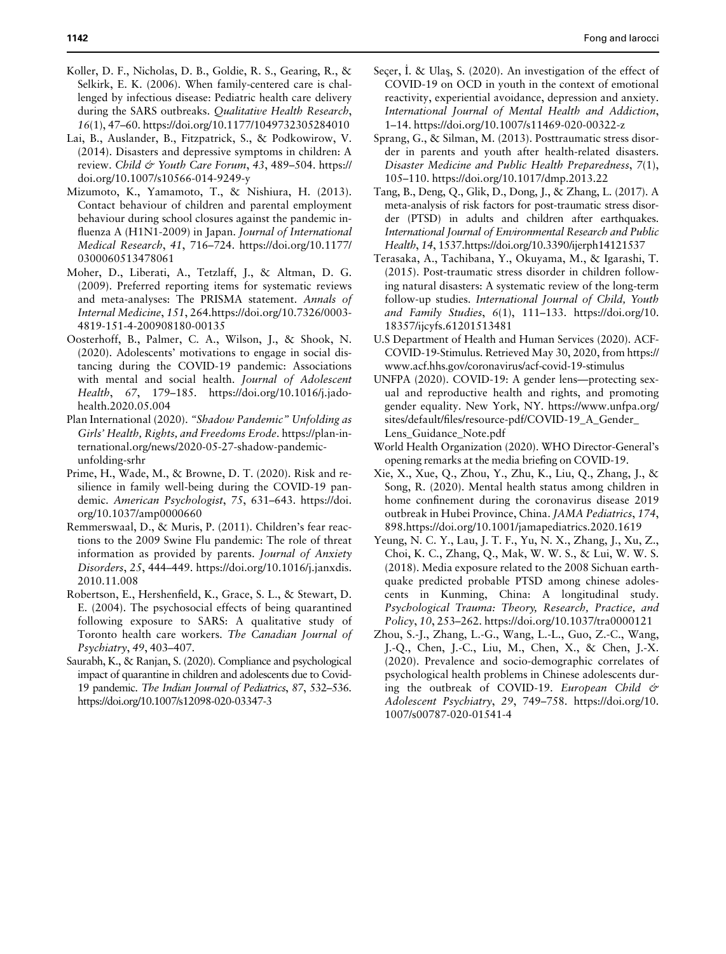- <span id="page-18-0"></span>Koller, D. F., Nicholas, D. B., Goldie, R. S., Gearing, R., & Selkirk, E. K. (2006). When family-centered care is challenged by infectious disease: Pediatric health care delivery during the SARS outbreaks. *Qualitative Health Research*, 16(1), 47–60.<https://doi.org/10.1177/1049732305284010>
- Lai, B., Auslander, B., Fitzpatrick, S., & Podkowirow, V. (2014). Disasters and depressive symptoms in children: A review. Child & Youth Care Forum, 43, 489–504. [https://](https://doi.org/10.1007/s10566-014-9249-y) [doi.org/10.1007/s10566-014-9249-y](https://doi.org/10.1007/s10566-014-9249-y)
- Mizumoto, K., Yamamoto, T., & Nishiura, H. (2013). Contact behaviour of children and parental employment behaviour during school closures against the pandemic influenza A (H1N1-2009) in Japan. Journal of International Medical Research, 41, 716–724. [https://doi.org/10.1177/](https://doi.org/10.1177/0300060513478061) [0300060513478061](https://doi.org/10.1177/0300060513478061)
- Moher, D., Liberati, A., Tetzlaff, J., & Altman, D. G. (2009). Preferred reporting items for systematic reviews and meta-analyses: The PRISMA statement. Annals of Internal Medicine, 151, 264[.https://doi.org/10.7326/0003-](https://doi.org/10.7326/0003-4819-151-4-200908180-00135) [4819-151-4-200908180-00135](https://doi.org/10.7326/0003-4819-151-4-200908180-00135)
- Oosterhoff, B., Palmer, C. A., Wilson, J., & Shook, N. (2020). Adolescents' motivations to engage in social distancing during the COVID-19 pandemic: Associations with mental and social health. Journal of Adolescent Health, 67, 179–185. [https://doi.org/10.1016/j.jado](https://doi.org/10.1016/j.jadohealth.2020.05.004)[health.2020.05.004](https://doi.org/10.1016/j.jadohealth.2020.05.004)
- Plan International (2020). "Shadow Pandemic" Unfolding as Girls' Health, Rights, and Freedoms Erode. [https://plan-in](https://plan-international.org/news/2020-05-27-shadow-pandemic-unfolding-srhr)[ternational.org/news/2020-05-27-shadow-pandemic](https://plan-international.org/news/2020-05-27-shadow-pandemic-unfolding-srhr)[unfolding-srhr](https://plan-international.org/news/2020-05-27-shadow-pandemic-unfolding-srhr)
- Prime, H., Wade, M., & Browne, D. T. (2020). Risk and resilience in family well-being during the COVID-19 pandemic. American Psychologist, 75, 631–643. [https://doi.](https://doi.org/10.1037/amp0000660) [org/10.1037/amp0000660](https://doi.org/10.1037/amp0000660)
- Remmerswaal, D., & Muris, P. (2011). Children's fear reactions to the 2009 Swine Flu pandemic: The role of threat information as provided by parents. Journal of Anxiety Disorders, 25, 444–449. [https://doi.org/10.1016/j.janxdis.](https://doi.org/10.1016/j.janxdis.2010.11.008) [2010.11.008](https://doi.org/10.1016/j.janxdis.2010.11.008)
- Robertson, E., Hershenfield, K., Grace, S. L., & Stewart, D. E. (2004). The psychosocial effects of being quarantined following exposure to SARS: A qualitative study of Toronto health care workers. The Canadian Journal of Psychiatry, 49, 403–407.
- Saurabh, K., & Ranjan, S. (2020). Compliance and psychological impact of quarantine in children and adolescents due to Covid-19 pandemic. The Indian Journal of Pediatrics, 87, 532–536. <https://doi.org/10.1007/s12098-020-03347-3>
- Secer, İ. & Ulaş, S. (2020). An investigation of the effect of COVID-19 on OCD in youth in the context of emotional reactivity, experiential avoidance, depression and anxiety. International Journal of Mental Health and Addiction, 1–14.<https://doi.org/10.1007/s11469-020-00322-z>
- Sprang, G., & Silman, M. (2013). Posttraumatic stress disorder in parents and youth after health-related disasters. Disaster Medicine and Public Health Preparedness, 7(1), 105–110.<https://doi.org/10.1017/dmp.2013.22>
- Tang, B., Deng, Q., Glik, D., Dong, J., & Zhang, L. (2017). A meta-analysis of risk factors for post-traumatic stress disorder (PTSD) in adults and children after earthquakes. International Journal of Environmental Research and Public Health, 14, 1537[.https://doi.org/10.3390/ijerph14121537](https://doi.org/10.3390/ijerph14121537)
- Terasaka, A., Tachibana, Y., Okuyama, M., & Igarashi, T. (2015). Post-traumatic stress disorder in children following natural disasters: A systematic review of the long-term follow-up studies. International Journal of Child, Youth and Family Studies, 6(1), 111–133. [https://doi.org/10.](https://doi.org/10.18357/ijcyfs.61201513481) [18357/ijcyfs.61201513481](https://doi.org/10.18357/ijcyfs.61201513481)
- U.S Department of Health and Human Services (2020). ACF-COVID-19-Stimulus. Retrieved May 30, 2020, from [https://](https://www.acf.hhs.gov/coronavirus/acf-covid-19-stimulus) [www.acf.hhs.gov/coronavirus/acf-covid-19-stimulus](https://www.acf.hhs.gov/coronavirus/acf-covid-19-stimulus)
- UNFPA (2020). COVID-19: A gender lens—protecting sexual and reproductive health and rights, and promoting gender equality. New York, NY. [https://www.unfpa.org/](https://www.unfpa.org/sites/default/files/resource-pdf/COVID-19_A_Gender_Lens_Guidance_Note.pdf) [sites/default/files/resource-pdf/COVID-19\\_A\\_Gender\\_](https://www.unfpa.org/sites/default/files/resource-pdf/COVID-19_A_Gender_Lens_Guidance_Note.pdf) [Lens\\_Guidance\\_Note.pdf](https://www.unfpa.org/sites/default/files/resource-pdf/COVID-19_A_Gender_Lens_Guidance_Note.pdf)
- World Health Organization (2020). WHO Director-General's opening remarks at the media briefing on COVID-19.
- Xie, X., Xue, Q., Zhou, Y., Zhu, K., Liu, Q., Zhang, J., & Song, R. (2020). Mental health status among children in home confinement during the coronavirus disease 2019 outbreak in Hubei Province, China. JAMA Pediatrics, 174, 898[.https://doi.org/10.1001/jamapediatrics.2020.1619](https://doi.org/10.1001/jamapediatrics.2020.1619)
- Yeung, N. C. Y., Lau, J. T. F., Yu, N. X., Zhang, J., Xu, Z., Choi, K. C., Zhang, Q., Mak, W. W. S., & Lui, W. W. S. (2018). Media exposure related to the 2008 Sichuan earthquake predicted probable PTSD among chinese adolescents in Kunming, China: A longitudinal study. Psychological Trauma: Theory, Research, Practice, and Policy, 10, 253–262.<https://doi.org/10.1037/tra0000121>
- Zhou, S.-J., Zhang, L.-G., Wang, L.-L., Guo, Z.-C., Wang, J.-Q., Chen, J.-C., Liu, M., Chen, X., & Chen, J.-X. (2020). Prevalence and socio-demographic correlates of psychological health problems in Chinese adolescents during the outbreak of COVID-19. European Child & Adolescent Psychiatry, 29, 749–758. [https://doi.org/10.](https://doi.org/10.1007/s00787-020-01541-4) [1007/s00787-020-01541-4](https://doi.org/10.1007/s00787-020-01541-4)